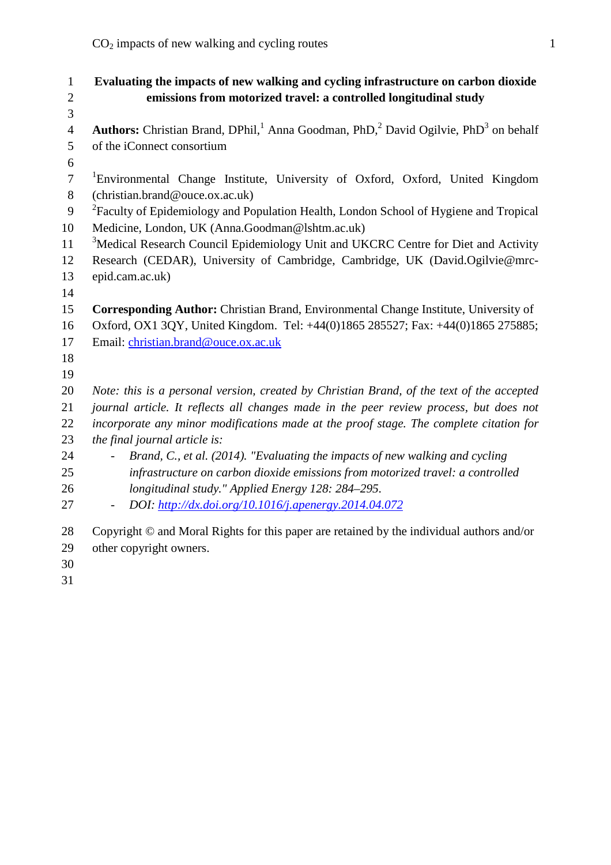1 **Evaluating the impacts of new walking and cycling infrastructure on carbon dioxide** 2 **emissions from motorized travel: a controlled longitudinal study** 3 4 **Authors:** Christian Brand, DPhil,<sup>1</sup> Anna Goodman, PhD,<sup>2</sup> David Ogilvie, PhD<sup>3</sup> on behalf 5 of the iConnect consortium 6 <sup>1</sup>Environmental Change Institute, University of Oxford, Oxford, United Kingdom (christian.brand@ouce.ox.ac.uk)8 <sup>2</sup> Faculty of Epidemiology and Population Health, London School of Hygiene and Tropical 10 Medicine, London, UK (Anna.Goodman@lshtm.ac.uk)  $3M$ edical Research Council Epidemiology Unit and UKCRC Centre for Diet and Activity Research (CEDAR), University of Cambridge, Cambridge, UK (David.Ogilvie@mrc-12 13 epid.cam.ac.uk) 14 15 **Corresponding Author:** Christian Brand, Environmental Change Institute, University of Oxford, OX1 3QY, United Kingdom. Tel: +44(0)1865 285527; Fax: +44(0)1865 275885;16 17 Email: christian.brand@ouce.ox.ac.uk 18 19 20 *Note: this is a personal version, created by Christian Brand, of the text of the accepted* 21 *journal article. It reflects all changes made in the peer review process, but does not* 22 *incorporate any minor modifications made at the proof stage. The complete citation for* 23 *the final journal article is:* 24 - *Brand, C., et al. (2014). "Evaluating the impacts of new walking and cycling* 25 *infrastructure on carbon dioxide emissions from motorized travel: a controlled* 26 *longitudinal study." Applied Energy 128: 284–295.* 27 - *DOI: http://dx.doi.org/10.1016/j.apenergy.2014.04.072* Copyright © and Moral Rights for this paper are retained by the individual authors and/or28 29 other copyright owners. 30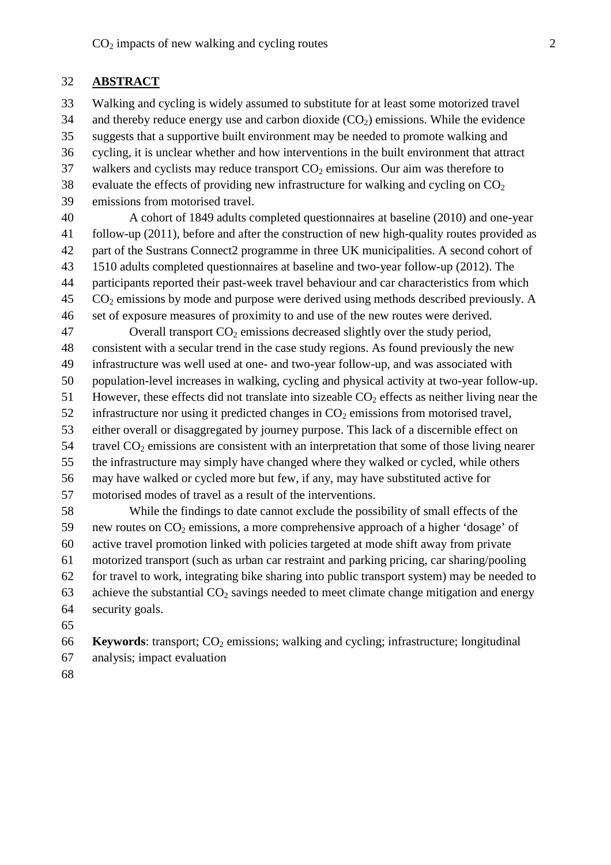#### 32 **ABSTRACT**

33 Walking and cycling is widely assumed to substitute for at least some motorized travel 34 and thereby reduce energy use and carbon dioxide  $(CO<sub>2</sub>)$  emissions. While the evidence suggests that a supportive built environment may be needed to promote walking and35 36 cycling, it is unclear whether and how interventions in the built environment that attract 37 walkers and cyclists may reduce transport  $CO<sub>2</sub>$  emissions. Our aim was therefore to 38 evaluate the effects of providing new infrastructure for walking and cycling on  $CO<sub>2</sub>$ 39 emissions from motorised travel.

A cohort of 1849 adults completed questionnaires at baseline (2010) and one-year follow-up (2011), before and after the construction of new high-quality routes provided as41 part of the Sustrans Connect2 programme in three UK municipalities. A second cohort of42 1510 adults completed questionnaires at baseline and two-year follow-up (2012). The43 participants reported their past-week travel behaviour and car characteristics from which44  $CO<sub>2</sub>$  emissions by mode and purpose were derived using methods described previously. A set of exposure measures of proximity to and use of the new routes were derived.46

 $\alpha$  Overall transport  $CO<sub>2</sub>$  emissions decreased slightly over the study period, 48 consistent with a secular trend in the case study regions. As found previously the new infrastructure was well used at one- and two-year follow-up, and was associated with49 population-level increases in walking, cycling and physical activity at two-year follow-up.50 51 However, these effects did not translate into sizeable  $CO<sub>2</sub>$  effects as neither living near the 52 infrastructure nor using it predicted changes in  $CO<sub>2</sub>$  emissions from motorised travel, 53 either overall or disaggregated by journey purpose. This lack of a discernible effect on travel  $CO<sub>2</sub>$  emissions are consistent with an interpretation that some of those living nearer 55 the infrastructure may simply have changed where they walked or cycled, while others may have walked or cycled more but few, if any, may have substituted active for56 57 motorised modes of travel as a result of the interventions.

58 While the findings to date cannot exclude the possibility of small effects of the 59 new routes on  $CO<sub>2</sub>$  emissions, a more comprehensive approach of a higher 'dosage' of  $60$  active travel promotion linked with policies targeted at mode shift away from private motorized transport (such as urban car restraint and parking pricing, car sharing/pooling61 for travel to work, integrating bike sharing into public transport system) may be needed to 63 achieve the substantial  $CO<sub>2</sub>$  savings needed to meet climate change mitigation and energy security goals.64

65

**Keywords:** transport;  $CO_2$  emissions; walking and cycling; infrastructure; longitudinal analysis; impact evaluation67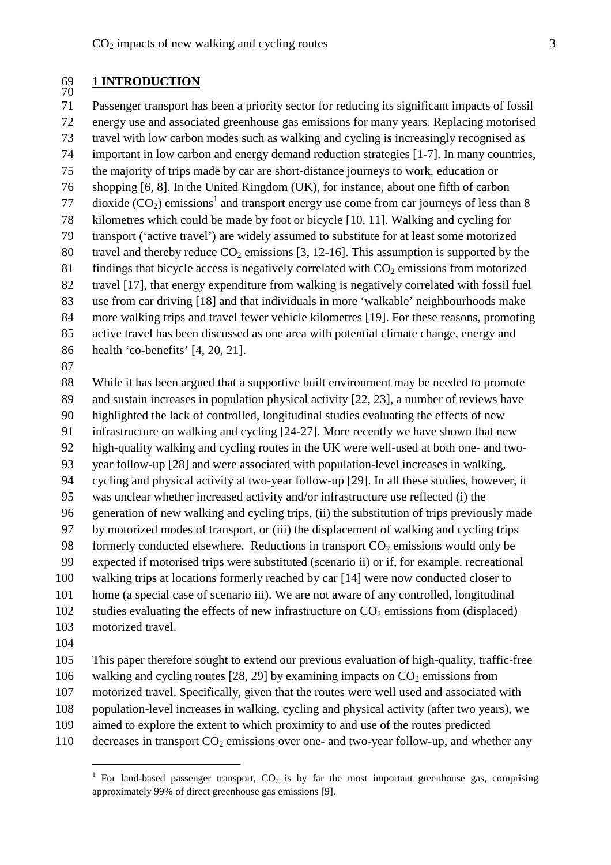#### 69 **1 INTRODUCTION** 69<br>70

Passenger transport has been a priority sector for reducing its significant impacts of fossil71 energy use and associated greenhouse gas emissions for many years. Replacing motorised72 travel with low carbon modes such as walking and cycling is increasingly recognised as73 important in low carbon and energy demand reduction strategies [1-7]. In many countries,74 the majority of trips made by car are short-distance journeys to work, education or75 shopping [6, 8]. In the United Kingdom (UK), for instance, about one fifth of carbon76  $\frac{1}{27}$  dioxide (CO<sub>2</sub>) emissions<sup>1</sup> and transport energy use come from car journeys of less than 8 78 kilometres which could be made by foot or bicycle [10, 11]. Walking and cycling for transport ('active travel') are widely assumed to substitute for at least some motorized79 80 travel and thereby reduce  $CO_2$  emissions [3, 12-16]. This assumption is supported by the 81 findings that bicycle access is negatively correlated with  $CO<sub>2</sub>$  emissions from motorized 82 travel [17], that energy expenditure from walking is negatively correlated with fossil fuel use from car driving [18] and that individuals in more 'walkable' neighbourhoods make83 more walking trips and travel fewer vehicle kilometres [19]. For these reasons, promoting84 85 active travel has been discussed as one area with potential climate change, energy and 86 health 'co-benefits' [4, 20, 21].

87

While it has been argued that a supportive built environment may be needed to promote88 and sustain increases in population physical activity [22, 23], a number of reviews have89 highlighted the lack of controlled, longitudinal studies evaluating the effects of new infrastructure on walking and cycling [24-27]. More recently we have shown that new91 high-quality walking and cycling routes in the UK were well-used at both one- and two-92 year follow-up [28] and were associated with population-level increases in walking,93 cycling and physical activity at two-year follow-up [29]. In all these studies, however, it94 was unclear whether increased activity and/or infrastructure use reflected (i) the95 generation of new walking and cycling trips, (ii) the substitution of trips previously made96 by motorized modes of transport, or (iii) the displacement of walking and cycling trips97 98 formerly conducted elsewhere. Reductions in transport  $CO<sub>2</sub>$  emissions would only be expected if motorised trips were substituted (scenario ii) or if, for example, recreational99 100 walking trips at locations formerly reached by car [14] were now conducted closer to home (a special case of scenario iii). We are not aware of any controlled, longitudinal  $102$  studies evaluating the effects of new infrastructure on  $CO<sub>2</sub>$  emissions from (displaced) 103 motorized travel. 104

This paper therefore sought to extend our previous evaluation of high-quality, traffic-free 106 walking and cycling routes [28, 29] by examining impacts on  $CO<sub>2</sub>$  emissions from 107 motorized travel. Specifically, given that the routes were well used and associated with

- 108 population-level increases in walking, cycling and physical activity (after two years), we
- 109 aimed to explore the extent to which proximity to and use of the routes predicted
- 
- 110 decreases in transport  $CO<sub>2</sub>$  emissions over one- and two-year follow-up, and whether any

<sup>&</sup>lt;sup>1</sup> For land-based passenger transport,  $CO<sub>2</sub>$  is by far the most important greenhouse gas, comprising approximately 99% of direct greenhouse gas emissions [9].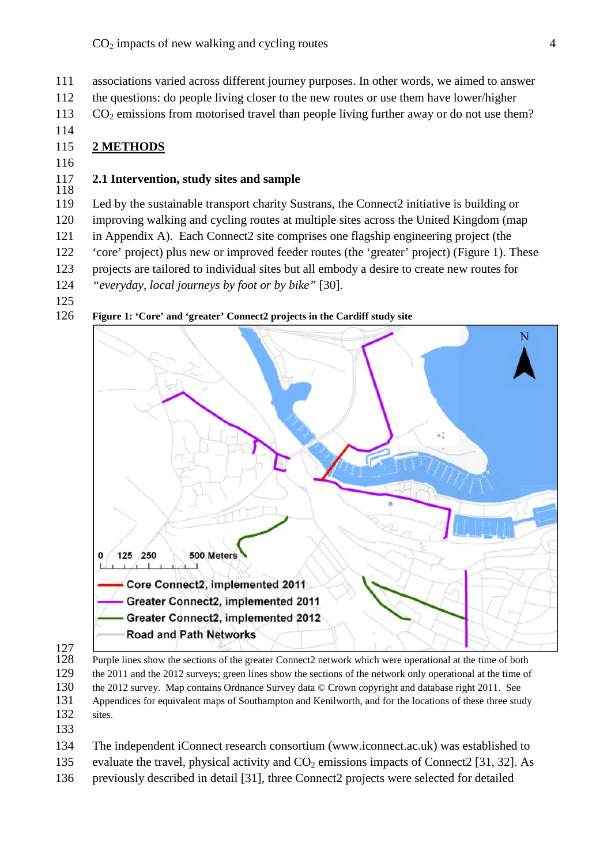111 associations varied across different journey purposes. In other words, we aimed to answer

- 112 the questions: do people living closer to the new routes or use them have lower/higher
- $CO<sub>2</sub>$  emissions from motorised travel than people living further away or do not use them?
- 114

# 115 **2 METHODS**

116

#### 117 **2.1 Intervention, study sites and sample** 118

119 Led by the sustainable transport charity Sustrans, the Connect2 initiative is building or improving walking and cycling routes at multiple sites across the United Kingdom (map120 121 in Appendix A). Each Connect2 site comprises one flagship engineering project (the 'core' project) plus new or improved feeder routes (the 'greater' project) (Figure 1). These122 123 projects are tailored to individual sites but all embody a desire to create new routes for 124 *"everyday, local journeys by foot or by bike"* [30].

125

126 **Figure 1: 'Core' and 'greater' Connect2 projects in the Cardiff study site**



127

128 Purple lines show the sections of the greater Connect2 network which were operational at the time of both 129 the 2011 and the 2012 surveys; green lines show the sections of the network only operational at the time of 130 the 2012 survey. Map contains Ordnance Survey data © Crown copyright and database right 2011. See 131 Appendices for equivalent maps of Southampton and Kenilworth, and for the locations of these three study 132 sites.

133

134 The independent iConnect research consortium (www.iconnect.ac.uk) was established to 135 evaluate the travel, physical activity and  $CO<sub>2</sub>$  emissions impacts of Connect2 [31, 32]. As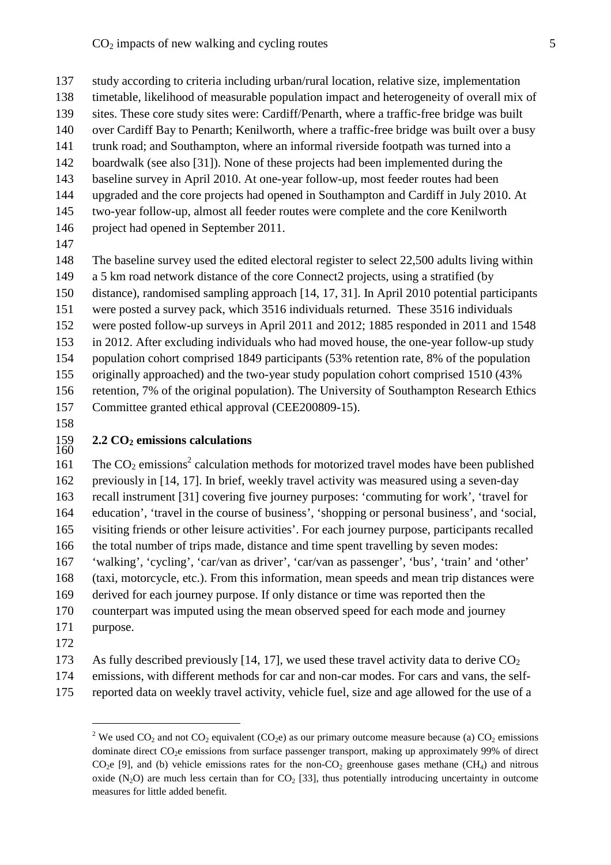study according to criteria including urban/rural location, relative size, implementation137 138 timetable, likelihood of measurable population impact and heterogeneity of overall mix of 139 sites. These core study sites were: Cardiff/Penarth, where a traffic-free bridge was built 140 over Cardiff Bay to Penarth; Kenilworth, where a traffic-free bridge was built over a busy 141 trunk road; and Southampton, where an informal riverside footpath was turned into a

- 142 boardwalk (see also [31]). None of these projects had been implemented during the 143 baseline survey in April 2010. At one-year follow-up, most feeder routes had been
- 144 upgraded and the core projects had opened in Southampton and Cardiff in July 2010. At
- 145 two-year follow-up, almost all feeder routes were complete and the core Kenilworth
- 146 project had opened in September 2011.
- 147

148 The baseline survey used the edited electoral register to select 22,500 adults living within a 5 km road network distance of the core Connect2 projects, using a stratified (by149 150 distance), randomised sampling approach [14, 17, 31]. In April 2010 potential participants 151 were posted a survey pack, which 3516 individuals returned. These 3516 individuals 152 were posted follow-up surveys in April 2011 and 2012; 1885 responded in 2011 and 1548 153 in 2012. After excluding individuals who had moved house, the one-year follow-up study 154 population cohort comprised 1849 participants (53% retention rate, 8% of the population 155 originally approached) and the two-year study population cohort comprised 1510 (43%) retention, 7% of the original population). The University of Southampton Research Ethics156 157 Committee granted ethical approval (CEE200809-15).

158

#### 159 **2.2 CO<sup>2</sup> emissions calculations** 160

161 The  $CO_2$  emissions<sup>2</sup> calculation methods for motorized travel modes have been published previously in [14, 17]. In brief, weekly travel activity was measured using a seven-day162 recall instrument [31] covering five journey purposes: 'commuting for work', 'travel for163 164 education', 'travel in the course of business', 'shopping or personal business', and 'social, 165 visiting friends or other leisure activities'. For each journey purpose, participants recalled 166 the total number of trips made, distance and time spent travelling by seven modes: 167 'walking', 'cycling', 'car/van as driver', 'car/van as passenger', 'bus', 'train' and 'other' 168 (taxi, motorcycle, etc.). From this information, mean speeds and mean trip distances were 169 derived for each journey purpose. If only distance or time was reported then the 170 counterpart was imputed using the mean observed speed for each mode and journey 171 purpose.

- 172
- 173 As fully described previously [14, 17], we used these travel activity data to derive  $CO<sub>2</sub>$
- 174 emissions, with different methods for car and non-car modes. For cars and vans, the self-
- 175 reported data on weekly travel activity, vehicle fuel, size and age allowed for the use of a

<sup>&</sup>lt;sup>2</sup> We used CO<sub>2</sub> and not CO<sub>2</sub> equivalent (CO<sub>2</sub>e) as our primary outcome measure because (a) CO<sub>2</sub> emissions dominate direct CO<sub>2</sub>e emissions from surface passenger transport, making up approximately 99% of direct  $CO<sub>2</sub>e$  [9], and (b) vehicle emissions rates for the non- $CO<sub>2</sub>$  greenhouse gases methane (CH<sub>4</sub>) and nitrous oxide  $(N_2O)$  are much less certain than for  $CO_2$  [33], thus potentially introducing uncertainty in outcome measures for little added benefit.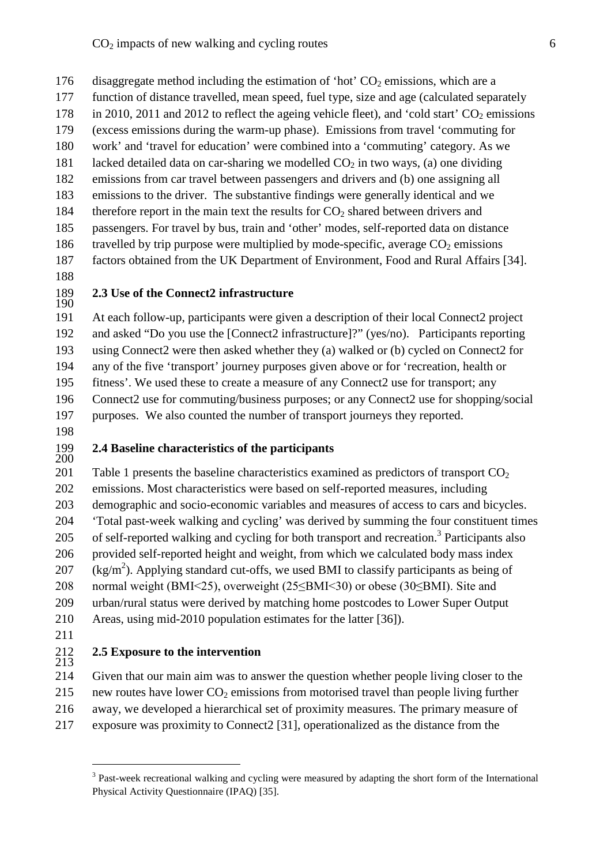- 176 disaggregate method including the estimation of 'hot'  $CO<sub>2</sub>$  emissions, which are a function of distance travelled, mean speed, fuel type, size and age (calculated separately 178 in 2010, 2011 and 2012 to reflect the ageing vehicle fleet), and 'cold start'  $CO<sub>2</sub>$  emissions (excess emissions during the warm-up phase). Emissions from travel 'commuting for179 180 work' and 'travel for education' were combined into a 'commuting' category. As we 181 lacked detailed data on car-sharing we modelled  $CO<sub>2</sub>$  in two ways, (a) one dividing 182 emissions from car travel between passengers and drivers and (b) one assigning all 183 emissions to the driver. The substantive findings were generally identical and we 184 therefore report in the main text the results for  $CO<sub>2</sub>$  shared between drivers and 185 passengers. For travel by bus, train and 'other' modes, self-reported data on distance 186 travelled by trip purpose were multiplied by mode-specific, average  $CO<sub>2</sub>$  emissions 187 factors obtained from the UK Department of Environment, Food and Rural Affairs [34].
- 188

#### 189 **2.3 Use of the Connect2 infrastructure** 190

191 At each follow-up, participants were given a description of their local Connect 2 project 192 and asked "Do you use the [Connect2 infrastructure]?" (yes/no). Participants reporting 193 using Connect2 were then asked whether they (a) walked or (b) cycled on Connect2 for any of the five 'transport' journey purposes given above or for 'recreation, health or194 fitness'. We used these to create a measure of any Connect2 use for transport; any195 196 Connect2 use for commuting/business purposes; or any Connect2 use for shopping/social 197 purposes. We also counted the number of transport journeys they reported.

198

#### 199 **2.4 Baseline characteristics of the participants** 200

201 Table 1 presents the baseline characteristics examined as predictors of transport  $CO<sub>2</sub>$ emissions. Most characteristics were based on self-reported measures, including202 203 demographic and socio-economic variables and measures of access to cars and bicycles. 'Total past-week walking and cycling' was derived by summing the four constituent times204 205 of self-reported walking and cycling for both transport and recreation.<sup>3</sup> Participants also provided self-reported height and weight, from which we calculated body mass index206 207 (kg/m<sup>2</sup>). Applying standard cut-offs, we used BMI to classify participants as being of 208 normal weight (BMI<25), overweight (25≤BMI<30) or obese (30≤BMI). Site and 209 urban/rural status were derived by matching home postcodes to Lower Super Output 210 Areas, using mid-2010 population estimates for the latter [36]).

211

#### 212 **2.5 Exposure to the intervention**  $^{212}_{213}$

214 Given that our main aim was to answer the question whether people living closer to the 215 new routes have lower  $CO<sub>2</sub>$  emissions from motorised travel than people living further 216 away, we developed a hierarchical set of proximity measures. The primary measure of exposure was proximity to Connect 2 [31], operationalized as the distance from the

<sup>&</sup>lt;sup>3</sup> Past-week recreational walking and cycling were measured by adapting the short form of the International Physical Activity Questionnaire (IPAQ) [35].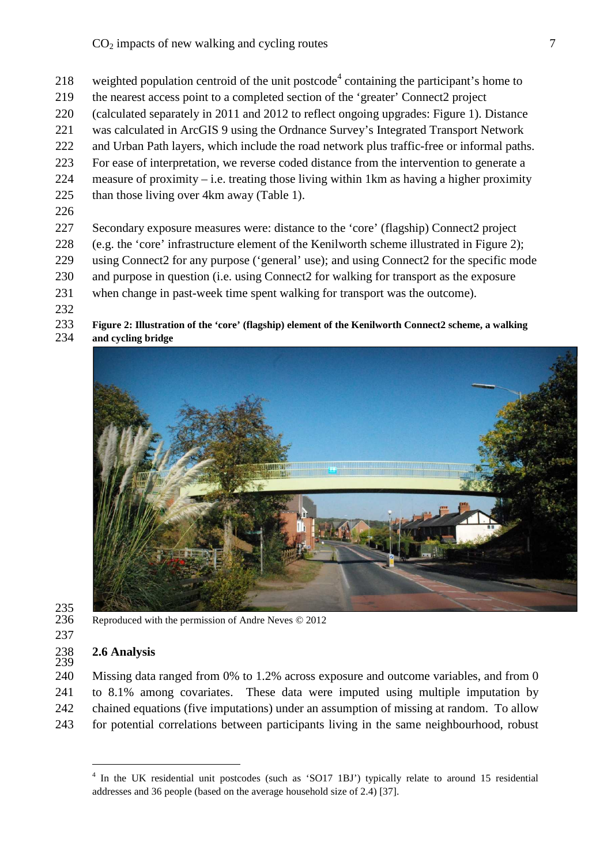- 218 weighted population centroid of the unit postcode<sup>4</sup> containing the participant's home to
- 219 the nearest access point to a completed section of the 'greater' Connect2 project
- (calculated separately in 2011 and 2012 to reflect ongoing upgrades: Figure 1). Distance220
- 221 was calculated in ArcGIS 9 using the Ordnance Survey's Integrated Transport Network
- 222 and Urban Path layers, which include the road network plus traffic-free or informal paths.
- For ease of interpretation, we reverse coded distance from the intervention to generate a223
- 224 measure of proximity i.e. treating those living within 1 km as having a higher proximity
- 225 than those living over 4km away (Table 1).
- 226

227 Secondary exposure measures were: distance to the 'core' (flagship) Connect 2 project (e.g. the 'core' infrastructure element of the Kenilworth scheme illustrated in Figure 2);228

- 229 using Connect 2 for any purpose ('general' use); and using Connect 2 for the specific mode 230 and purpose in question (i.e. using Connect 2 for walking for transport as the exposure
- 231 when change in past-week time spent walking for transport was the outcome).
- 232

### 233 **Figure 2: Illustration of the 'core' (flagship) element of the Kenilworth Connect2 scheme, a walking** 234 **and cycling bridge**



235<br>236

Reproduced with the permission of Andre Neves © 2012

237

239

238 **2.6 Analysis**

240 Missing data ranged from 0% to 1.2% across exposure and outcome variables, and from 0 241 to 8.1% among covariates. These data were imputed using multiple imputation by 242 chained equations (five imputations) under an assumption of missing at random. To allow for potential correlations between participants living in the same neighbourhood, robust243

<sup>&</sup>lt;sup>4</sup> In the UK residential unit postcodes (such as 'SO17 1BJ') typically relate to around 15 residential addresses and 36 people (based on the average household size of 2.4) [37].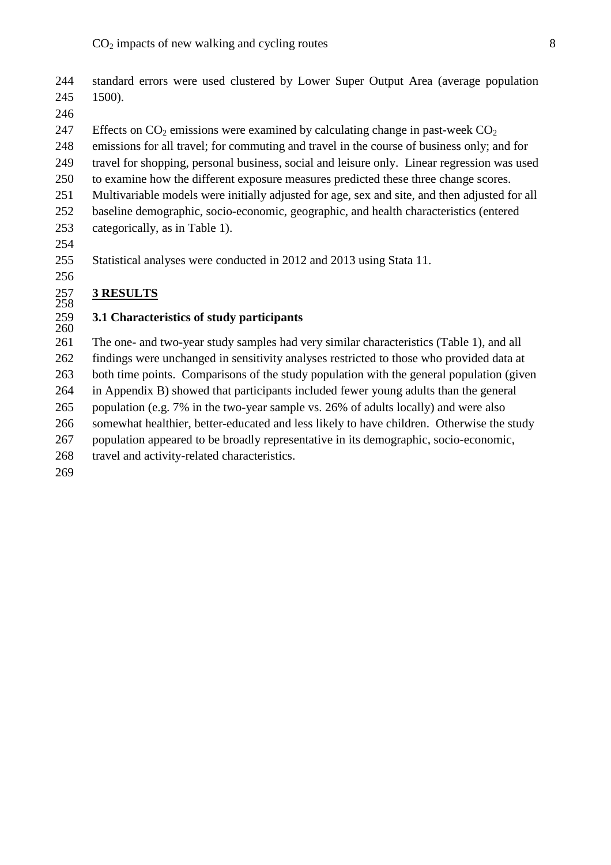- 244 standard errors were used clustered by Lower Super Output Area (average population 245 1500).
- 246

247 Effects on  $CO_2$  emissions were examined by calculating change in past-week  $CO_2$ 248 emissions for all travel; for commuting and travel in the course of business only; and for travel for shopping, personal business, social and leisure only. Linear regression was used249 250 to examine how the different exposure measures predicted these three change scores. 251 Multivariable models were initially adjusted for age, sex and site, and then adjusted for all 252 baseline demographic, socio-economic, geographic, and health characteristics (entered 253 categorically, as in Table 1).

254

256

255 Statistical analyses were conducted in 2012 and 2013 using Stata 11.

#### **3 RESULTS** 258

#### 259 **3.1 Characteristics of study participants** 259<br>260

261 The one- and two-year study samples had very similar characteristics (Table 1), and all findings were unchanged in sensitivity analyses restricted to those who provided data at262 both time points. Comparisons of the study population with the general population (given263 264 in Appendix B) showed that participants included fewer young adults than the general population (e.g. 7% in the two-year sample vs. 26% of adults locally) and were also265 somewhat healthier, better-educated and less likely to have children. Otherwise the study266 population appeared to be broadly representative in its demographic, socio-economic,267 268 travel and activity-related characteristics. 269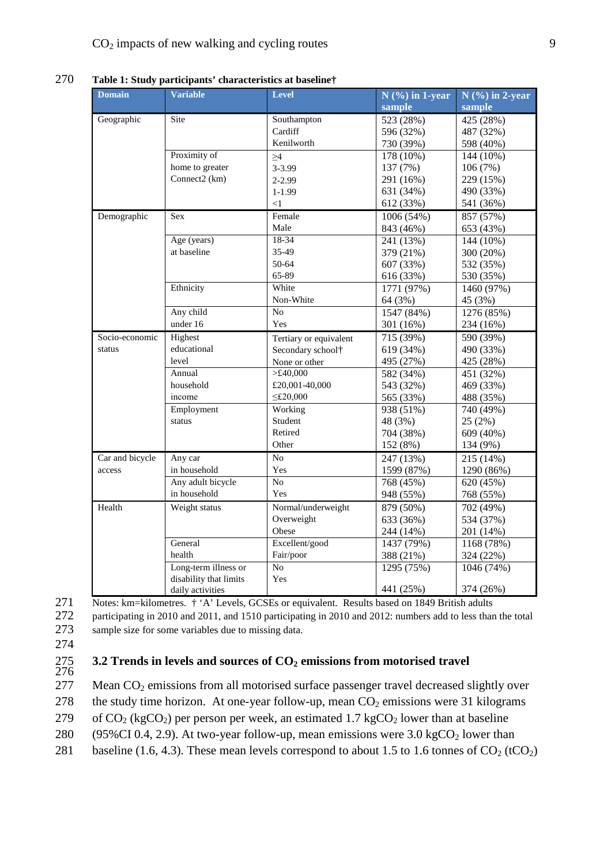| <b>Domain</b>   | <b>Variable</b>        | <b>Level</b>           | $N$ (%) in 1-year | $N$ (%) in 2-year |
|-----------------|------------------------|------------------------|-------------------|-------------------|
|                 |                        |                        | sample            | sample            |
| Geographic      | Site                   | Southampton            | 523 (28%)         | 425 (28%)         |
|                 |                        | Cardiff                | 596 (32%)         | 487 (32%)         |
|                 |                        | Kenilworth             | 730 (39%)         | 598 (40%)         |
|                 | Proximity of           | $\geq$ 4               | 178 (10%)         | 144 (10%)         |
|                 | home to greater        | 3-3.99                 | 137 (7%)          | 106(7%)           |
|                 | Connect2 (km)          | $2 - 2.99$             | 291 (16%)         | 229 (15%)         |
|                 |                        | $1 - 1.99$             | 631 (34%)         | 490 (33%)         |
|                 |                        | $<$ 1                  | 612 (33%)         | 541 (36%)         |
| Demographic     | <b>Sex</b>             | Female                 | 1006 (54%)        | 857 (57%)         |
|                 |                        | Male                   | 843 (46%)         | 653 (43%)         |
|                 | Age (years)            | $18 - 34$              | 241 (13%)         | 144 (10%)         |
|                 | at baseline            | 35-49                  | 379 (21%)         | 300 (20%)         |
|                 |                        | 50-64                  | 607 (33%)         | 532 (35%)         |
|                 |                        | 65-89                  | 616 (33%)         | 530 (35%)         |
|                 | Ethnicity              | White                  | 1771 (97%)        | 1460 (97%)        |
|                 |                        | Non-White              | 64 (3%)           | 45 (3%)           |
|                 | Any child              | N <sub>o</sub>         | 1547 (84%)        | 1276 (85%)        |
|                 | under 16               | Yes                    | 301 (16%)         | 234 (16%)         |
| Socio-economic  | Highest                | Tertiary or equivalent | 715 (39%)         | 590 (39%)         |
| status          | educational            | Secondary school†      | 619 (34%)         | 490 (33%)         |
|                 | level                  | None or other          | 495 (27%)         | 425 (28%)         |
|                 | Annual                 | >£40,000               | 582 (34%)         | 451 (32%)         |
|                 | household              | £20,001-40,000         | 543 (32%)         | 469 (33%)         |
|                 | income                 | $\leq$ £20,000         | 565 (33%)         | 488 (35%)         |
|                 | Employment             | Working                | 938 (51%)         | 740 (49%)         |
|                 | status                 | Student                | 48 (3%)           | 25(2%)            |
|                 |                        | Retired                | 704 (38%)         | 609 (40%)         |
|                 |                        | Other                  | 152 (8%)          | 134 (9%)          |
| Car and bicycle | Any car                | $\overline{No}$        | 247 (13%)         | 215 (14%)         |
| access          | in household           | Yes                    | 1599 (87%)        | 1290 (86%)        |
|                 | Any adult bicycle      | N <sub>o</sub>         | 768 (45%)         | 620 (45%)         |
|                 | in household           | Yes                    | 948 (55%)         | 768 (55%)         |
| Health          | Weight status          | Normal/underweight     | 879 (50%)         | 702 (49%)         |
|                 |                        | Overweight             | 633 (36%)         | 534 (37%)         |
|                 |                        | Obese                  | 244 (14%)         | 201 (14%)         |
|                 | General                | Excellent/good         | 1437 (79%)        | 1168 (78%)        |
|                 | health                 | Fair/poor              | 388 (21%)         | 324 (22%)         |
|                 | Long-term illness or   | N <sub>o</sub>         | 1295 (75%)        | 1046 (74%)        |
|                 | disability that limits | Yes                    |                   |                   |
|                 | daily activities       |                        | 441 (25%)         | 374 (26%)         |

270 **Table 1: Study participants' characteristics at baseline†**

271 Notes: km=kilometres. † 'A' Levels, GCSEs or equivalent. Results based on 1849 British adults 272 participating in 2010 and 2011, and 1510 participating in 2010 and 2012: numbers add to less than the total 273 sample size for some variables due to missing data.

274

#### 275 **3.2 Trends in levels and sources of CO<sup>2</sup> emissions from motorised travel** 276

277 Mean  $CO<sub>2</sub>$  emissions from all motorised surface passenger travel decreased slightly over

278 the study time horizon. At one-year follow-up, mean  $CO<sub>2</sub>$  emissions were 31 kilograms

279 of  $CO_2$  (kgCO<sub>2</sub>) per person per week, an estimated 1.7 kgCO<sub>2</sub> lower than at baseline

280 (95%CI 0.4, 2.9). At two-year follow-up, mean emissions were  $3.0 \text{ kgCO}_2$  lower than

281 baseline (1.6, 4.3). These mean levels correspond to about 1.5 to 1.6 tonnes of  $CO_2$  (tCO<sub>2</sub>)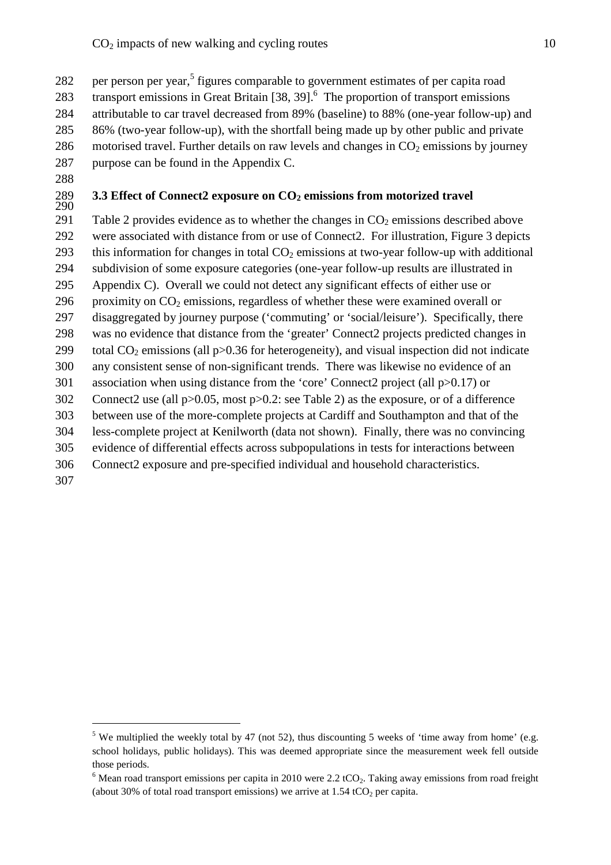282 per person per year,<sup>5</sup> figures comparable to government estimates of per capita road 283 transport emissions in Great Britain [38, 39].<sup>6</sup> The proportion of transport emissions 284 attributable to car travel decreased from 89% (baseline) to 88% (one-year follow-up) and 285 86% (two-year follow-up), with the shortfall being made up by other public and private 286 motorised travel. Further details on raw levels and changes in  $CO<sub>2</sub>$  emissions by journey 287 purpose can be found in the Appendix C.

288

# 290

# 289 **3.3 Effect of Connect2 exposure on CO<sup>2</sup> emissions from motorized travel**

291 Table 2 provides evidence as to whether the changes in  $CO<sub>2</sub>$  emissions described above 292 were associated with distance from or use of Connect2. For illustration, Figure 3 depicts 293 this information for changes in total  $CO<sub>2</sub>$  emissions at two-year follow-up with additional subdivision of some exposure categories (one-year follow-up results are illustrated in294 295 Appendix C). Overall we could not detect any significant effects of either use or 296 proximity on  $CO<sub>2</sub>$  emissions, regardless of whether these were examined overall or 297 disaggregated by journey purpose ('commuting' or 'social/leisure'). Specifically, there was no evidence that distance from the 'greater' Connect2 projects predicted changes in298 299 total  $CO<sub>2</sub>$  emissions (all p $>0.36$  for heterogeneity), and visual inspection did not indicate any consistent sense of non-significant trends. There was likewise no evidence of an300 301 association when using distance from the 'core' Connect 2 project (all  $p>0.17$ ) or Connect 2 use (all p $>0.05$ , most p $>0.2$ : see Table 2) as the exposure, or of a difference between use of the more-complete projects at Cardiff and Southampton and that of the303 less-complete project at Kenilworth (data not shown). Finally, there was no convincing304 305 evidence of differential effects across subpopulations in tests for interactions between Connect2 exposure and pre-specified individual and household characteristics.306 307

<sup>&</sup>lt;sup>5</sup> We multiplied the weekly total by 47 (not 52), thus discounting 5 weeks of 'time away from home' (e.g. school holidays, public holidays). This was deemed appropriate since the measurement week fell outside those periods.

<sup>&</sup>lt;sup>6</sup> Mean road transport emissions per capita in 2010 were 2.2 tCO<sub>2</sub>. Taking away emissions from road freight (about 30% of total road transport emissions) we arrive at  $1.54$  tCO<sub>2</sub> per capita.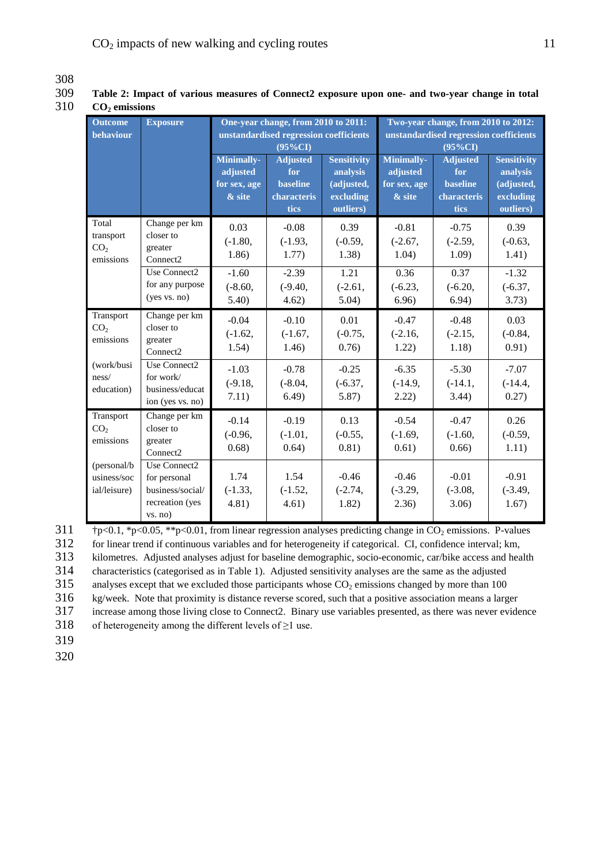| $\mathbf{U}_2$ chussions                           | One-year change, from 2010 to 2011:<br>Two-year change, from 2010 to 2012:<br><b>Outcome</b><br><b>Exposure</b> |                                                  |                                                                         |                                                                        |                                                  |                                                                  |                                                                        |  |  |  |
|----------------------------------------------------|-----------------------------------------------------------------------------------------------------------------|--------------------------------------------------|-------------------------------------------------------------------------|------------------------------------------------------------------------|--------------------------------------------------|------------------------------------------------------------------|------------------------------------------------------------------------|--|--|--|
| behaviour                                          |                                                                                                                 |                                                  | unstandardised regression coefficients<br>$(95\%CI)$                    |                                                                        |                                                  | unstandardised regression coefficients<br>$(95\%CI)$             |                                                                        |  |  |  |
|                                                    |                                                                                                                 | Minimally-<br>adjusted<br>for sex, age<br>& site | <b>Adjusted</b><br>for<br><b>baseline</b><br>characteris<br><b>tics</b> | <b>Sensitivity</b><br>analysis<br>(adjusted,<br>excluding<br>outliers) | Minimally-<br>adjusted<br>for sex, age<br>& site | <b>Adjusted</b><br>for<br><b>baseline</b><br>characteris<br>tics | <b>Sensitivity</b><br>analysis<br>(adjusted,<br>excluding<br>outliers) |  |  |  |
| Total<br>transport<br>CO <sub>2</sub><br>emissions | Change per km<br>closer to<br>greater<br>Connect <sub>2</sub>                                                   | 0.03<br>$(-1.80,$<br>1.86)                       | $-0.08$<br>$(-1.93,$<br>1.77)                                           | 0.39<br>$(-0.59,$<br>1.38)                                             | $-0.81$<br>$(-2.67,$<br>1.04)                    | $-0.75$<br>$(-2.59,$<br>1.09)                                    | 0.39<br>$(-0.63,$<br>1.41)                                             |  |  |  |
|                                                    | Use Connect2<br>for any purpose<br>(yes vs. no)                                                                 | $-1.60$<br>$(-8.60,$<br>5.40)                    | $-2.39$<br>$(-9.40,$<br>4.62)                                           | 1.21<br>$(-2.61,$<br>5.04)                                             | 0.36<br>$(-6.23,$<br>6.96)                       | 0.37<br>$(-6.20,$<br>6.94)                                       | $-1.32$<br>$(-6.37,$<br>3.73)                                          |  |  |  |
| Transport<br>CO <sub>2</sub><br>emissions          | Change per km<br>closer to<br>greater<br>Connect <sub>2</sub>                                                   | $-0.04$<br>$(-1.62,$<br>1.54)                    | $-0.10$<br>$(-1.67,$<br>1.46)                                           | 0.01<br>$(-0.75,$<br>0.76)                                             | $-0.47$<br>$(-2.16,$<br>1.22)                    | $-0.48$<br>$(-2.15,$<br>1.18)                                    | 0.03<br>$(-0.84,$<br>0.91)                                             |  |  |  |
| (work/busi<br>ness/<br>education)                  | Use Connect2<br>for work/<br>business/educat<br>ion (yes vs. no)                                                | $-1.03$<br>$(-9.18,$<br>7.11)                    | $-0.78$<br>$(-8.04,$<br>6.49)                                           | $-0.25$<br>$(-6.37,$<br>5.87)                                          | $-6.35$<br>$(-14.9,$<br>2.22)                    | $-5.30$<br>$(-14.1,$<br>3.44)                                    | $-7.07$<br>$(-14.4,$<br>0.27)                                          |  |  |  |
| Transport<br>CO <sub>2</sub><br>emissions          | Change per km<br>closer to<br>greater<br>Connect <sub>2</sub>                                                   | $-0.14$<br>$(-0.96,$<br>0.68)                    | $-0.19$<br>$(-1.01,$<br>0.64)                                           | 0.13<br>$(-0.55,$<br>0.81)                                             | $-0.54$<br>$(-1.69,$<br>0.61)                    | $-0.47$<br>$(-1.60,$<br>0.66)                                    | 0.26<br>$(-0.59,$<br>1.11)                                             |  |  |  |
| (personal/b<br>usiness/soc<br>ial/leisure)         | Use Connect2<br>for personal<br>business/social/<br>recreation (yes<br>vs. no)                                  | 1.74<br>$(-1.33,$<br>4.81)                       | 1.54<br>$(-1.52,$<br>4.61)                                              | $-0.46$<br>$(-2.74,$<br>1.82)                                          | $-0.46$<br>$(-3.29,$<br>2.36)                    | $-0.01$<br>$(-3.08,$<br>3.06)                                    | $-0.91$<br>$(-3.49,$<br>1.67)                                          |  |  |  |

### 309 **Table 2: Impact of various measures of Connect2 exposure upon one- and two-year change in total** 310 **CO<sup>2</sup> emissions**

 $\uparrow$  †p<0.1, \*p<0.05, \*\*p<0.01, from linear regression analyses predicting change in CO<sub>2</sub> emissions. P-values for linear trend if continuous variables and for heterogeneity if categorical. CI, confidence interval; km, kilometres. Adjusted analyses adjust for baseline demographic, socio-economic, car/bike access and health characteristics (categorised as in Table 1). Adjusted sensitivity analyses are the same as the adjusted

315 analyses except that we excluded those participants whose  $CO<sub>2</sub>$  emissions changed by more than 100

316 kg/week. Note that proximity is distance reverse scored, such that a positive association means a larger

317 increase among those living close to Connect2. Binary use variables presented, as there was never evidence

318 of heterogeneity among the different levels of  $\geq 1$  use.

319

308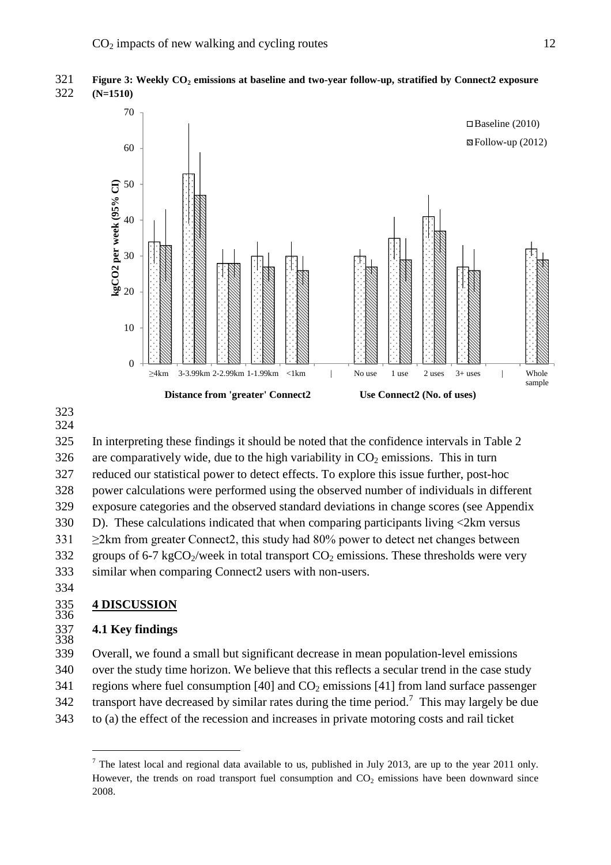





In interpreting these findings it should be noted that the confidence intervals in Table 2325 326 are comparatively wide, due to the high variability in  $CO<sub>2</sub>$  emissions. This in turn reduced our statistical power to detect effects. To explore this issue further, post-hoc327 power calculations were performed using the observed number of individuals in different328 exposure categories and the observed standard deviations in change scores (see Appendix329  $330$  D). These calculations indicated that when comparing participants living  $\langle 2 \text{km} \rangle$  versus 331  $\geq$ 2km from greater Connect2, this study had 80% power to detect net changes between 332 groups of 6-7 kgCO<sub>2</sub>/week in total transport  $CO_2$  emissions. These thresholds were very similar when comparing Connect2 users with non-users.333

334

#### 335 **4 DISCUSSION** 335<br>336

#### 337 **4.1 Key findings** 337<br>338

Overall, we found a small but significant decrease in mean population-level emissions339 340 over the study time horizon. We believe that this reflects a secular trend in the case study 341 regions where fuel consumption [40] and  $CO<sub>2</sub>$  emissions [41] from land surface passenger 342 transport have decreased by similar rates during the time period.<sup>7</sup> This may largely be due 343 to (a) the effect of the recession and increases in private motoring costs and rail ticket

 $<sup>7</sup>$  The latest local and regional data available to us, published in July 2013, are up to the year 2011 only.</sup> However, the trends on road transport fuel consumption and  $CO<sub>2</sub>$  emissions have been downward since 2008.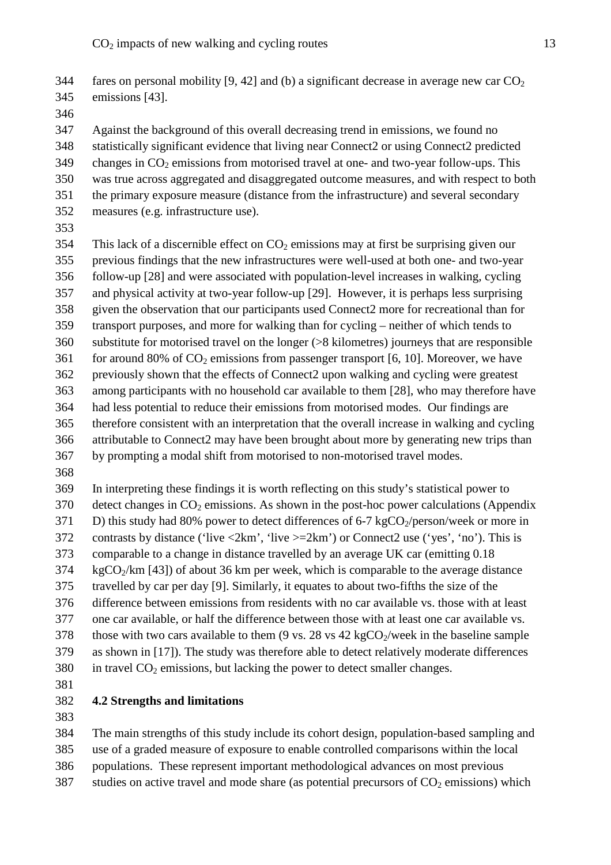Against the background of this overall decreasing trend in emissions, we found no statistically significant evidence that living near Connect2 or using Connect2 predicted348 349 changes in  $CO_2$  emissions from motorised travel at one- and two-year follow-ups. This 350 was true across aggregated and disaggregated outcome measures, and with respect to both the primary exposure measure (distance from the infrastructure) and several secondary351 352 measures (e.g. infrastructure use).

353

 $354$  This lack of a discernible effect on CO<sub>2</sub> emissions may at first be surprising given our previous findings that the new infrastructures were well-used at both one- and two-year355 follow-up [28] and were associated with population-level increases in walking, cycling356 357 and physical activity at two-year follow-up [29]. However, it is perhaps less surprising given the observation that our participants used Connect 2 more for recreational than for transport purposes, and more for walking than for cycling – neither of which tends to  $360$  substitute for motorised travel on the longer ( $>8$  kilometres) journeys that are responsible  $f(6, 10)$  for around 80% of CO<sub>2</sub> emissions from passenger transport [6, 10]. Moreover, we have 362 previously shown that the effects of Connect2 upon walking and cycling were greatest 363 among participants with no household car available to them [28], who may therefore have had less potential to reduce their emissions from motorised modes. Our findings are364 therefore consistent with an interpretation that the overall increase in walking and cycling365 366 attributable to Connect2 may have been brought about more by generating new trips than by prompting a modal shift from motorised to non-motorised travel modes.367

368

369 In interpreting these findings it is worth reflecting on this study's statistical power to  $370$  detect changes in  $CO<sub>2</sub>$  emissions. As shown in the post-hoc power calculations (Appendix 371 D) this study had 80% power to detect differences of 6-7 kgCO<sub>2</sub>/person/week or more in 372 contrasts by distance ('live  $\langle 2km'$ , 'live  $\rangle = 2km'$ ) or Connect use ('yes', 'no'). This is comparable to a change in distance travelled by an average UK car (emitting 0.18373  $KgCO<sub>2</sub>/km$  [43]) of about 36 km per week, which is comparable to the average distance travelled by car per day [9]. Similarly, it equates to about two-fifths the size of the375 376 difference between emissions from residents with no car available vs. those with at least 377 one car available, or half the difference between those with at least one car available vs. 378 those with two cars available to them (9 vs. 28 vs 42 kgCO $_2$ /week in the baseline sample 379 as shown in [17]). The study was therefore able to detect relatively moderate differences 380 in travel  $CO<sub>2</sub>$  emissions, but lacking the power to detect smaller changes.

381

# 382 **4.2 Strengths and limitations**

383

The main strengths of this study include its cohort design, population-based sampling and use of a graded measure of exposure to enable controlled comparisons within the local385 populations. These represent important methodological advances on most previous386 studies on active travel and mode share (as potential precursors of  $CO<sub>2</sub>$  emissions) which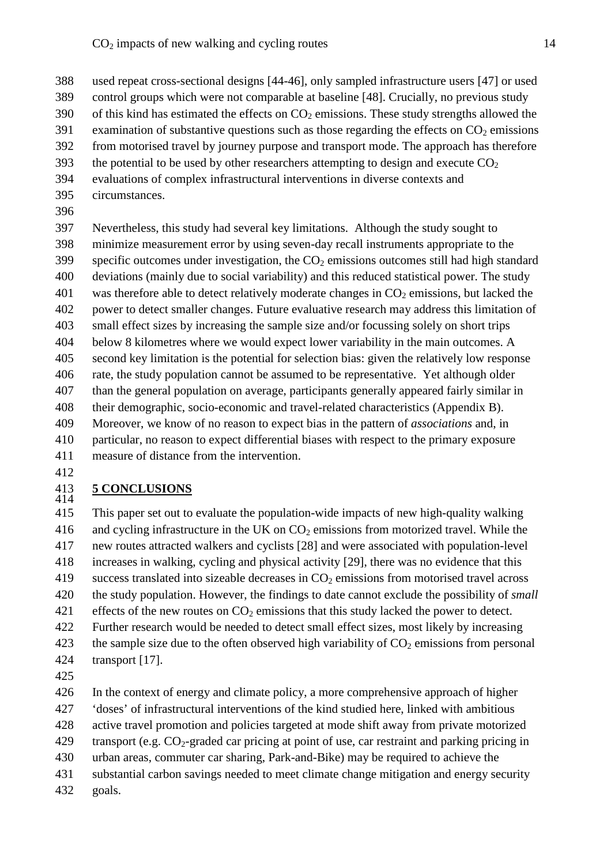- 388 used repeat cross-sectional designs [44-46], only sampled infrastructure users [47] or used 389 control groups which were not comparable at baseline [48]. Crucially, no previous study
- 390 of this kind has estimated the effects on  $CO<sub>2</sub>$  emissions. These study strengths allowed the
- 391 examination of substantive questions such as those regarding the effects on  $CO<sub>2</sub>$  emissions
- From motorised travel by journey purpose and transport mode. The approach has therefore
- 393 the potential to be used by other researchers attempting to design and execute  $CO<sub>2</sub>$
- 394 evaluations of complex infrastructural interventions in diverse contexts and
- 395 circumstances.
- 396

Nevertheless, this study had several key limitations. Although the study sought to397 minimize measurement error by using seven-day recall instruments appropriate to the398 specific outcomes under investigation, the  $CO<sub>2</sub>$  emissions outcomes still had high standard 400 deviations (mainly due to social variability) and this reduced statistical power. The study 401 was therefore able to detect relatively moderate changes in  $CO<sub>2</sub>$  emissions, but lacked the 402 power to detect smaller changes. Future evaluative research may address this limitation of small effect sizes by increasing the sample size and/or focussing solely on short trips403 below 8 kilometres where we would expect lower variability in the main outcomes. A404 second key limitation is the potential for selection bias: given the relatively low response405 406 rate, the study population cannot be assumed to be representative. Yet although older 407 than the general population on average, participants generally appeared fairly similar in their demographic, socio-economic and travel-related characteristics (Appendix B).408 Moreover, we know of no reason to expect bias in the pattern of *associations* and, in409 particular, no reason to expect differential biases with respect to the primary exposure410 411 measure of distance from the intervention.

412

#### 413 **5 CONCLUSIONS** 413<br>414

This paper set out to evaluate the population-wide impacts of new high-quality walking415 416 and cycling infrastructure in the UK on  $CO<sub>2</sub>$  emissions from motorized travel. While the new routes attracted walkers and cyclists [28] and were associated with population-level417 increases in walking, cycling and physical activity [29], there was no evidence that this418 419 success translated into sizeable decreases in  $CO<sub>2</sub>$  emissions from motorised travel across 420 the study population. However, the findings to date cannot exclude the possibility of *small* 421 effects of the new routes on  $CO<sub>2</sub>$  emissions that this study lacked the power to detect. Further research would be needed to detect small effect sizes, most likely by increasing422 423 the sample size due to the often observed high variability of  $CO<sub>2</sub>$  emissions from personal 424 transport  $[17]$ .

425

In the context of energy and climate policy, a more comprehensive approach of higher426 'doses' of infrastructural interventions of the kind studied here, linked with ambitious427

428 active travel promotion and policies targeted at mode shift away from private motorized

429 transport (e.g.  $CO_2$ -graded car pricing at point of use, car restraint and parking pricing in

- urban areas, commuter car sharing, Park-and-Bike) may be required to achieve the430
- 431 substantial carbon savings needed to meet climate change mitigation and energy security
- 432 goals.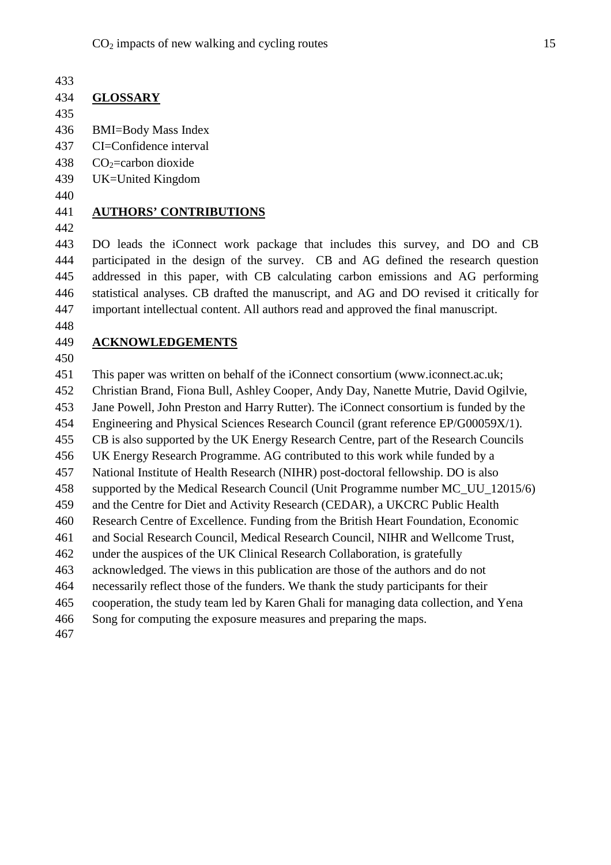# 434 **GLOSSARY**

435

- 436 BMI=Body Mass Index
- 437 CI=Confidence interval
- 438  $CO<sub>2</sub>=$ carbon dioxide
- 439 UK=United Kingdom
- 440

# 441 **AUTHORS' CONTRIBUTIONS**

442

DO leads the iConnect work package that includes this survey, and DO and CB443 participated in the design of the survey. CB and AG defined the research question444 addressed in this paper, with CB calculating carbon emissions and AG performing445 statistical analyses. CB drafted the manuscript, and AG and DO revised it critically for446 important intellectual content. All authors read and approved the final manuscript.447

448

# 449 **ACKNOWLEDGEMENTS**

450

This paper was written on behalf of the iConnect consortium (www.iconnect.ac.uk;451 Christian Brand, Fiona Bull, Ashley Cooper, Andy Day, Nanette Mutrie, David Ogilvie,452 Jane Powell, John Preston and Harry Rutter). The iConnect consortium is funded by the453 454 Engineering and Physical Sciences Research Council (grant reference EP/G00059X/1). 455 CB is also supported by the UK Energy Research Centre, part of the Research Councils UK Energy Research Programme. AG contributed to this work while funded by a456 457 National Institute of Health Research (NIHR) post-doctoral fellowship. DO is also 458 supported by the Medical Research Council (Unit Programme number MC UU 12015/6) 459 and the Centre for Diet and Activity Research (CEDAR), a UKCRC Public Health Research Centre of Excellence. Funding from the British Heart Foundation, Economic460 and Social Research Council, Medical Research Council, NIHR and Wellcome Trust,461 462 under the auspices of the UK Clinical Research Collaboration, is gratefully 463 acknowledged. The views in this publication are those of the authors and do not necessarily reflect those of the funders. We thank the study participants for their464 465 cooperation, the study team led by Karen Ghali for managing data collection, and Yena Song for computing the exposure measures and preparing the maps.466 467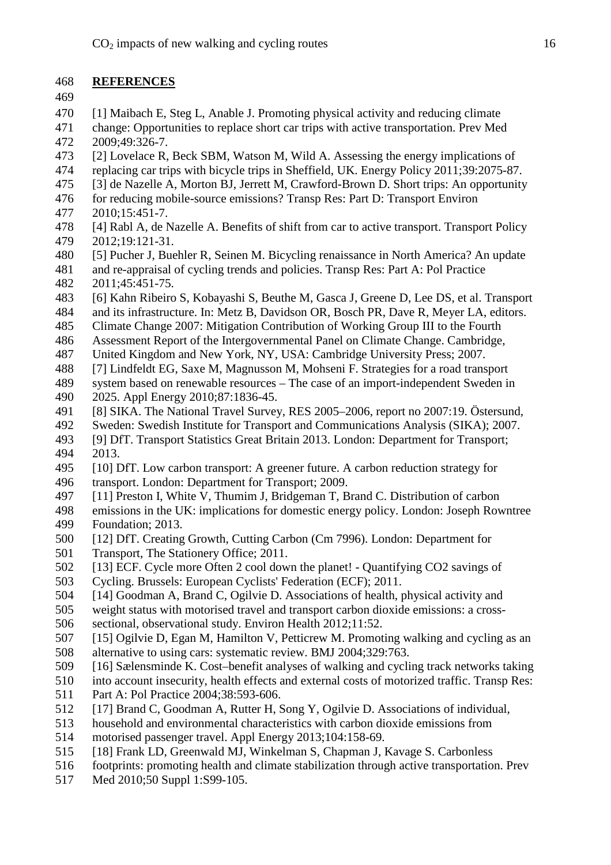# 468 **REFERENCES**

- 469
- [1] Maibach E, Steg L, Anable J. Promoting physical activity and reducing climate470
- 471 change: Opportunities to replace short car trips with active transportation. Prev Med 472 2009:49:326-7.
- [2] Lovelace R, Beck SBM, Watson M, Wild A. Assessing the energy implications of473
- replacing car trips with bicycle trips in Sheffield, UK. Energy Policy 2011;39:2075-87.474
- [3] de Nazelle A, Morton BJ, Jerrett M, Crawford-Brown D. Short trips: An opportunity475
- for reducing mobile-source emissions? Transp Res: Part D: Transport Environ476 477 2010;15:451-7.
- [4] Rabl A, de Nazelle A. Benefits of shift from car to active transport. Transport Policy478 479 2012;19:121-31.
- [5] Pucher J, Buehler R, Seinen M. Bicycling renaissance in North America? An update480
- 481 and re-appraisal of cycling trends and policies. Transp Res: Part A: Pol Practice 482 2011;45:451-75.
- [6] Kahn Ribeiro S, Kobayashi S, Beuthe M, Gasca J, Greene D, Lee DS, et al. Transport483
- 484 and its infrastructure. In: Metz B, Davidson OR, Bosch PR, Dave R, Meyer LA, editors.
- 485 Climate Change 2007: Mitigation Contribution of Working Group III to the Fourth
- Assessment Report of the Intergovernmental Panel on Climate Change. Cambridge,486
- 487 United Kingdom and New York, NY, USA: Cambridge University Press: 2007.
- [7] Lindfeldt EG, Saxe M, Magnusson M, Mohseni F. Strategies for a road transport488
- system based on renewable resources The case of an import-independent Sweden in489 490 2025. Appl Energy 2010;87:1836-45.
- [8] SIKA. The National Travel Survey, RES 2005–2006, report no 2007:19. Östersund,491
- 492 Sweden: Swedish Institute for Transport and Communications Analysis (SIKA); 2007.
- [9] DfT. Transport Statistics Great Britain 2013. London: Department for Transport;493 494 2013.
- [10] DfT. Low carbon transport: A greener future. A carbon reduction strategy for495 496 transport. London: Department for Transport; 2009.
- [11] Preston I, White V, Thumim J, Bridgeman T, Brand C. Distribution of carbon497
- 498 emissions in the UK: implications for domestic energy policy. London: Joseph Rowntree 499 Foundation: 2013.
- [12] DfT. Creating Growth, Cutting Carbon (Cm 7996). London: Department for500 501 Transport, The Stationery Office; 2011.
- [13] ECF. Cycle more Often 2 cool down the planet! Quantifying CO2 savings of502
- 503 Cycling. Brussels: European Cyclists' Federation (ECF); 2011.
- [14] Goodman A, Brand C, Ogilvie D. Associations of health, physical activity and504
- weight status with motorised travel and transport carbon dioxide emissions: a cross-505 506 sectional, observational study. Environ Health 2012;11:52.
- [15] Ogilvie D, Egan M, Hamilton V, Petticrew M. Promoting walking and cycling as an507 508 alternative to using cars: systematic review. BMJ 2004;329:763.
- [16] Sælensminde K. Cost–benefit analyses of walking and cycling track networks taking509
- into account insecurity, health effects and external costs of motorized traffic. Transp Res:510 511 Part A: Pol Practice 2004:38:593-606.
- [17] Brand C, Goodman A, Rutter H, Song Y, Ogilvie D. Associations of individual,512
- 513 household and environmental characteristics with carbon dioxide emissions from
- 514 motorised passenger travel. Appl Energy 2013:104:158-69.
- [18] Frank LD, Greenwald MJ, Winkelman S, Chapman J, Kavage S. Carbonless515
- 516 footprints: promoting health and climate stabilization through active transportation. Prev
- 517 Med 2010;50 Suppl 1:S99-105.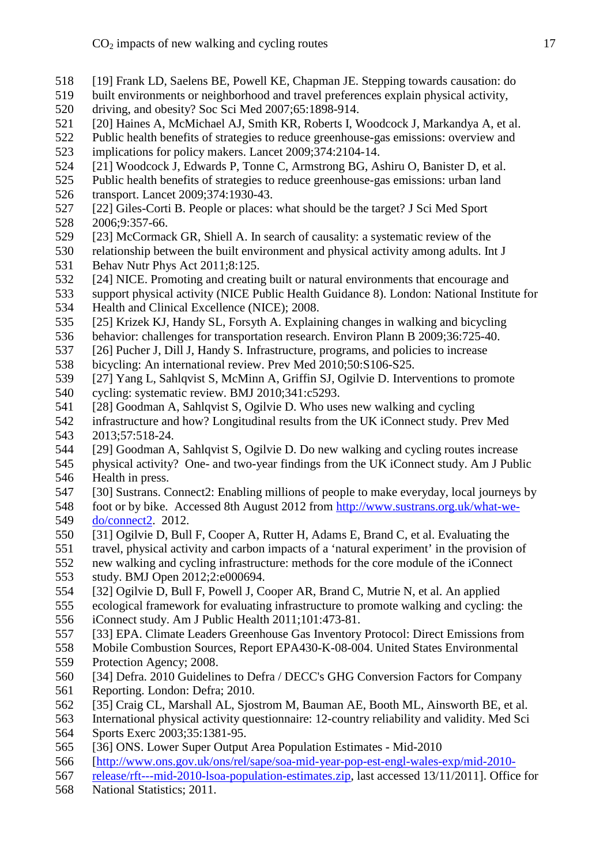- [19] Frank LD, Saelens BE, Powell KE, Chapman JE. Stepping towards causation: do518
- 519 built environments or neighborhood and travel preferences explain physical activity,
- 520 driving, and obesity? Soc Sci Med 2007;65:1898-914.
- [20] Haines A, McMichael AJ, Smith KR, Roberts I, Woodcock J, Markandya A, et al.521
- 522 Public health benefits of strategies to reduce greenhouse-gas emissions: overview and 523 implications for policy makers. Lancet 2009;374:2104-14.
- [21] Woodcock J, Edwards P, Tonne C, Armstrong BG, Ashiru O, Banister D, et al.524
- 525 Public health benefits of strategies to reduce greenhouse-gas emissions: urban land 526 transport. Lancet 2009;374:1930-43.
- [22] Giles-Corti B. People or places: what should be the target? J Sci Med Sport527 528 2006;9:357-66.
- [23] McCormack GR, Shiell A. In search of causality: a systematic review of the
- 530 relationship between the built environment and physical activity among adults. Int J 531 Behav Nutr Phys Act 2011:8:125.
- [24] NICE. Promoting and creating built or natural environments that encourage and
- support physical activity (NICE Public Health Guidance 8). London: National Institute for533 534 Health and Clinical Excellence (NICE); 2008.
- [25] Krizek KJ, Handy SL, Forsyth A. Explaining changes in walking and bicycling535
- 536 behavior: challenges for transportation research. Environ Plann B 2009;36:725-40.
- [26] Pucher J, Dill J, Handy S. Infrastructure, programs, and policies to increase537
- 538 bicycling: An international review. Prev Med 2010;50:S106-S25.
- [27] Yang L, Sahlqvist S, McMinn A, Griffin SJ, Ogilvie D. Interventions to promote539
- 540 cycling: systematic review. BMJ  $2010;341: c5293$ .
- [28] Goodman A, Sahlqvist S, Ogilvie D. Who uses new walking and cycling541
- 542 infrastructure and how? Longitudinal results from the UK iConnect study. Prev Med 543 2013:57:518-24.
- [29] Goodman A, Sahlqvist S, Ogilvie D. Do new walking and cycling routes increase544
- physical activity? One- and two-year findings from the UK iConnect study. Am J Public545 546 Health in press.
- [30] Sustrans. Connect2: Enabling millions of people to make everyday, local journeys by547 548 foot or by bike. Accessed 8th August 2012 from http://www.sustrans.org.uk/what-we-549 do/connect2. 2012.
- [31] Ogilvie D, Bull F, Cooper A, Rutter H, Adams E, Brand C, et al. Evaluating the550
- 551 travel, physical activity and carbon impacts of a 'natural experiment' in the provision of
- 552 new walking and cycling infrastructure: methods for the core module of the iConnect 553 study. BMJ Open 2012;2:e000694.
- [32] Ogilvie D, Bull F, Powell J, Cooper AR, Brand C, Mutrie N, et al. An applied554
- 555 ecological framework for evaluating infrastructure to promote walking and cycling: the 556 iConnect study. Am J Public Health 2011;101:473-81.
- [33] EPA. Climate Leaders Greenhouse Gas Inventory Protocol: Direct Emissions from
- 558 Mobile Combustion Sources, Report EPA430-K-08-004. United States Environmental
- 559 Protection Agency; 2008.
- [34] Defra. 2010 Guidelines to Defra / DECC's GHG Conversion Factors for Company560
- 561 Reporting. London: Defra; 2010.
- [35] Craig CL, Marshall AL, Sjostrom M, Bauman AE, Booth ML, Ainsworth BE, et al.562
- International physical activity questionnaire: 12-country reliability and validity. Med Sci563 564 Sports Exerc 2003;35:1381-95.
- [36] ONS. Lower Super Output Area Population Estimates Mid-2010565
- 566 [http://www.ons.gov.uk/ons/rel/sape/soa-mid-year-pop-est-engl-wales-exp/mid-2010-
- 567 release/rft---mid-2010-lsoa-population-estimates.zip, last accessed 13/11/2011]. Office for
- 568 National Statistics; 2011.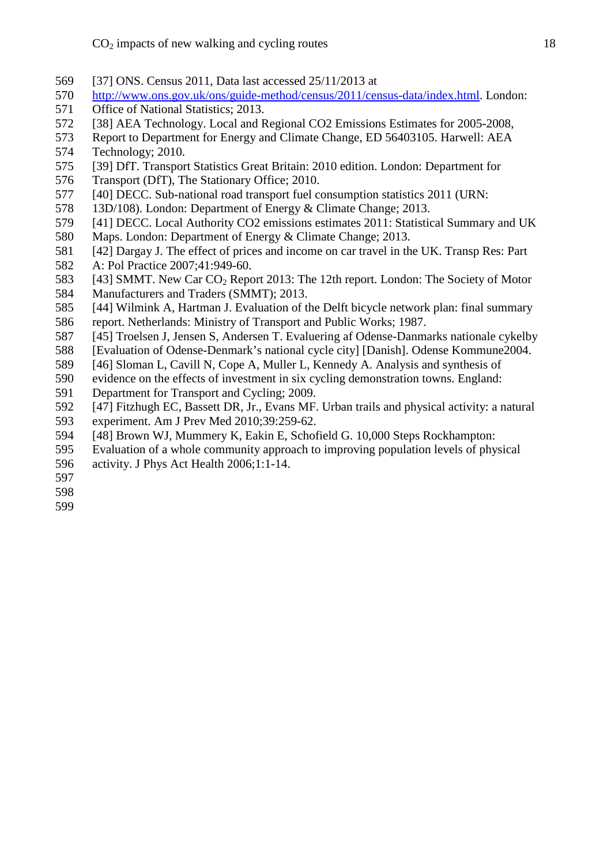- [37] ONS. Census 2011, Data last accessed 25/11/2013 at569
- 570 http://www.ons.gov.uk/ons/guide-method/census/2011/census-data/index.html. London:
- 571 Office of National Statistics; 2013.
- [38] AEA Technology. Local and Regional CO2 Emissions Estimates for 2005-2008,
- 573 Report to Department for Energy and Climate Change, ED 56403105. Harwell: AEA 574 Technology; 2010.
- [39] DfT. Transport Statistics Great Britain: 2010 edition. London: Department for575 576 Transport (DfT), The Stationary Office; 2010.
- [40] DECC. Sub-national road transport fuel consumption statistics 2011 (URN:
- 578 13D/108). London: Department of Energy & Climate Change; 2013.
- [41] DECC. Local Authority CO2 emissions estimates 2011: Statistical Summary and UK579
- 580 Maps. London: Department of Energy & Climate Change; 2013.
- [42] Dargay J. The effect of prices and income on car travel in the UK. Transp Res: Part581 582 A: Pol Practice 2007;41:949-60.
- 583 [43] SMMT. New Car  $CO<sub>2</sub>$  Report 2013: The 12th report. London: The Society of Motor 584 Manufacturers and Traders (SMMT); 2013.
- [44] Wilmink A, Hartman J. Evaluation of the Delft bicycle network plan: final summary585
- 586 report. Netherlands: Ministry of Transport and Public Works: 1987.
- [45] Troelsen J, Jensen S, Andersen T. Evaluering af Odense-Danmarks nationale cykelby587
- 588 [Evaluation of Odense-Denmark's national cycle city] [Danish]. Odense Kommune2004.
- [46] Sloman L, Cavill N, Cope A, Muller L, Kennedy A. Analysis and synthesis of589
- 590 evidence on the effects of investment in six cycling demonstration towns. England:
- 591 Department for Transport and Cycling; 2009.
- [47] Fitzhugh EC, Bassett DR, Jr., Evans MF. Urban trails and physical activity: a natural
- 593 experiment. Am J Prev Med 2010;39:259-62.
- [48] Brown WJ, Mummery K, Eakin E, Schofield G. 10,000 Steps Rockhampton:594
- Evaluation of a whole community approach to improving population levels of physical595
- 596 activity. J Phys Act Health 2006;1:1-14.
- 597
- 598
- 599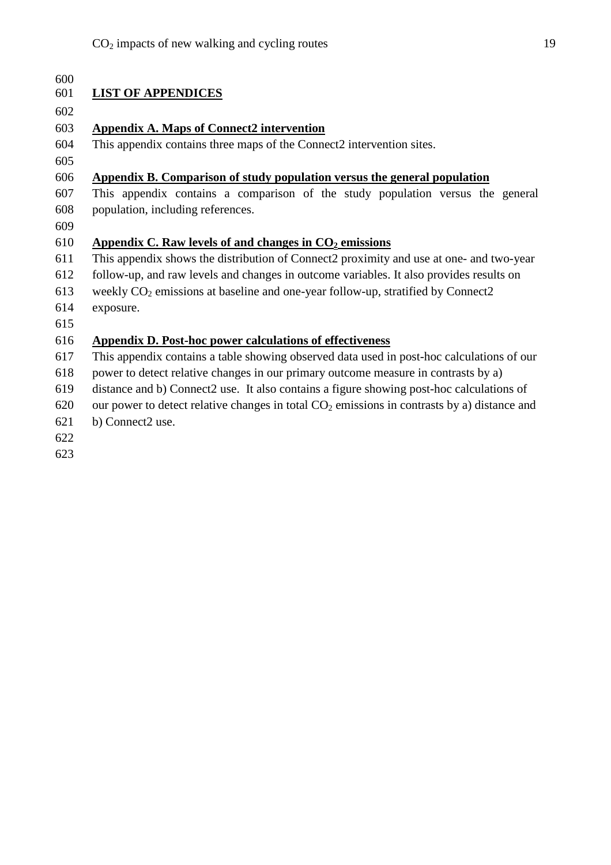| 600 |                                                                                               |
|-----|-----------------------------------------------------------------------------------------------|
| 601 | <b>LIST OF APPENDICES</b>                                                                     |
| 602 |                                                                                               |
| 603 | <b>Appendix A. Maps of Connect2 intervention</b>                                              |
| 604 | This appendix contains three maps of the Connect2 intervention sites.                         |
| 605 |                                                                                               |
| 606 | Appendix B. Comparison of study population versus the general population                      |
| 607 | This appendix contains a comparison of the study population versus the general                |
| 608 | population, including references.                                                             |
| 609 |                                                                                               |
| 610 | Appendix C. Raw levels of and changes in $CO2$ emissions                                      |
| 611 | This appendix shows the distribution of Connect2 proximity and use at one- and two-year       |
| 612 | follow-up, and raw levels and changes in outcome variables. It also provides results on       |
| 613 | weekly $CO2$ emissions at baseline and one-year follow-up, stratified by Connect2             |
| 614 | exposure.                                                                                     |
| 615 |                                                                                               |
| 616 | <b>Appendix D. Post-hoc power calculations of effectiveness</b>                               |
| 617 | This appendix contains a table showing observed data used in post-hoc calculations of our     |
| 618 | power to detect relative changes in our primary outcome measure in contrasts by a)            |
| 619 | distance and b) Connect2 use. It also contains a figure showing post-hoc calculations of      |
| 620 | our power to detect relative changes in total $CO2$ emissions in contrasts by a) distance and |
| 621 | b) Connect2 use.                                                                              |
| 622 |                                                                                               |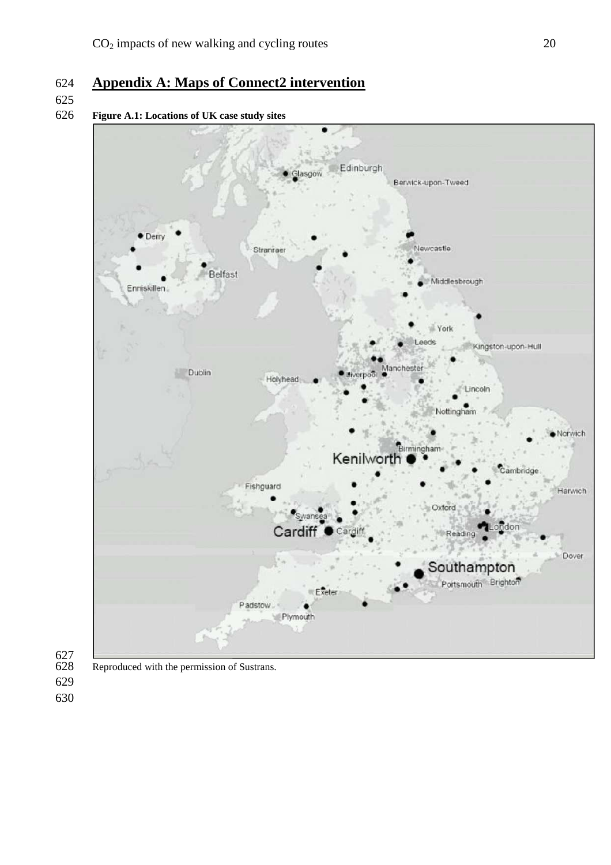# **Appendix A: Maps of Connect2 intervention**

# 

# **Figure A.1: Locations of UK case study sites**





Reproduced with the permission of Sustrans.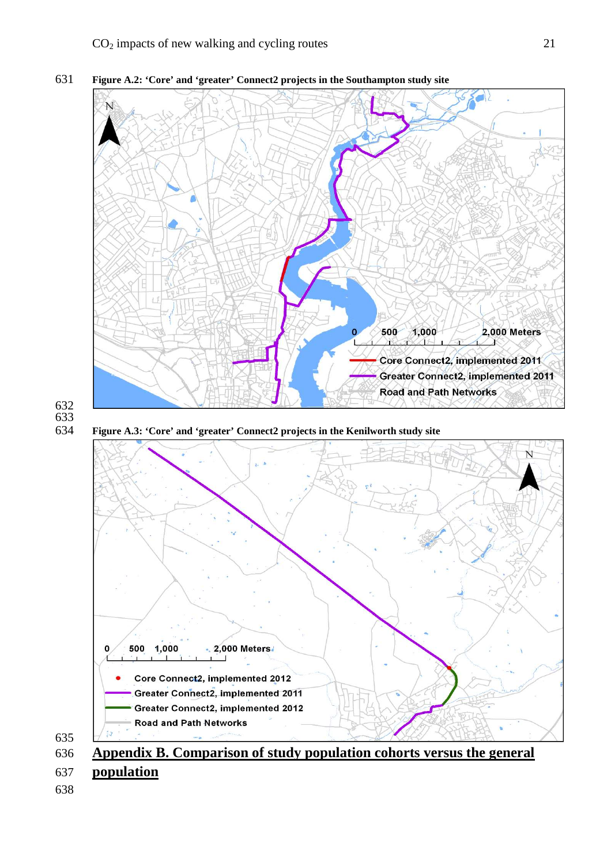

**Figure A.2: 'Core' and 'greater' Connect2 projects in the Southampton study site**

# 

**Figure A.3: 'Core' and 'greater' Connect2 projects in the Kenilworth study site**



**Appendix B. Comparison of study population cohorts versus the general**

- **population**
-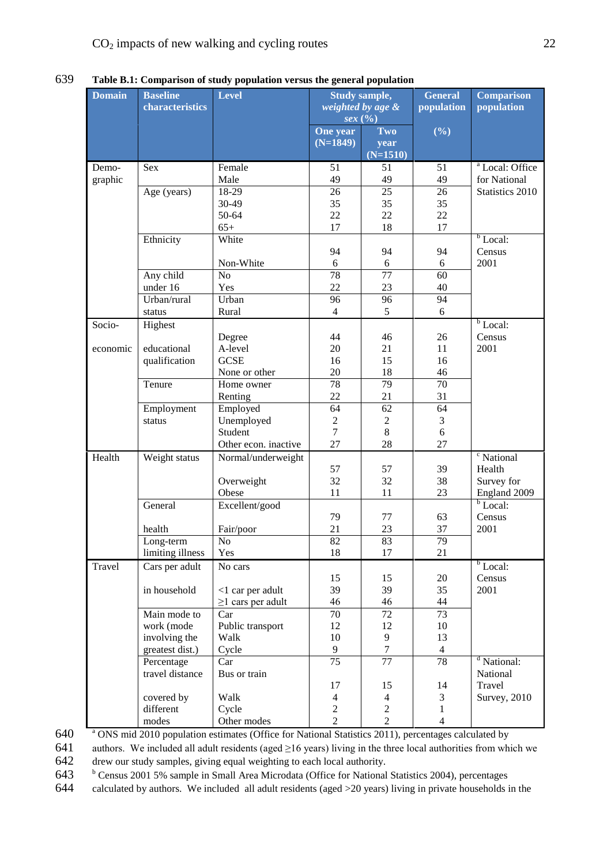| 639 | Table B.1: Comparison of study population versus the general population |
|-----|-------------------------------------------------------------------------|
|     |                                                                         |

|               |                  | raoic Diri Comparison or staay population versus the general population |                 |                      |                 |                            |
|---------------|------------------|-------------------------------------------------------------------------|-----------------|----------------------|-----------------|----------------------------|
| <b>Domain</b> | <b>Baseline</b>  | <b>Level</b>                                                            |                 | <b>Study sample,</b> | <b>General</b>  | <b>Comparison</b>          |
|               | characteristics  |                                                                         |                 | weighted by age &    | population      | population                 |
|               |                  |                                                                         |                 | sex(%)               |                 |                            |
|               |                  |                                                                         | One year        | Two                  | $(\frac{6}{6})$ |                            |
|               |                  |                                                                         | $(N=1849)$      | year                 |                 |                            |
|               |                  |                                                                         |                 | $(N=1510)$           |                 |                            |
| Demo-         | Sex              | Female                                                                  | 51              | 51                   | 51              | <sup>a</sup> Local: Office |
| graphic       |                  | Male                                                                    | 49              | 49                   | 49              | for National               |
|               | Age (years)      | 18-29                                                                   | 26              | 25                   | 26              | Statistics 2010            |
|               |                  | 30-49                                                                   | 35              | 35                   | 35              |                            |
|               |                  | 50-64                                                                   | 22              | 22                   | 22              |                            |
|               |                  | $65+$                                                                   | 17              | 18                   | 17              |                            |
|               | Ethnicity        | White                                                                   |                 |                      |                 | $b$ Local:                 |
|               |                  |                                                                         | 94              | 94                   | 94              | Census                     |
|               |                  | Non-White                                                               | 6               | $6\,$                | 6               | 2001                       |
|               | Any child        | N <sub>o</sub>                                                          | 78              | $\overline{77}$      | 60              |                            |
|               | under 16         | Yes                                                                     | 22              | 23                   | 40              |                            |
|               | Urban/rural      | Urban                                                                   | 96              | 96                   | 94              |                            |
|               | status           | Rural                                                                   | $\overline{4}$  | 5                    | 6               |                            |
| Socio-        | Highest          |                                                                         |                 |                      |                 | $b$ Local:                 |
|               |                  | Degree                                                                  | 44              | 46                   | 26              | Census                     |
| economic      | educational      | A-level                                                                 | 20              | 21                   | 11              | 2001                       |
|               | qualification    | <b>GCSE</b>                                                             | 16              | 15                   | 16              |                            |
|               |                  | None or other                                                           | 20              | 18                   | 46              |                            |
|               | Tenure           | Home owner                                                              | 78              | 79                   | 70              |                            |
|               |                  | Renting                                                                 | 22              | 21                   | 31              |                            |
|               | Employment       | Employed                                                                | 64              | 62                   | 64              |                            |
|               | status           | Unemployed                                                              | $\overline{c}$  | $\overline{c}$       | 3               |                            |
|               |                  | Student                                                                 | $\overline{7}$  | 8                    | 6               |                            |
|               |                  | Other econ. inactive                                                    | 27              | 28                   | 27              |                            |
| Health        | Weight status    | Normal/underweight                                                      |                 |                      |                 | <sup>c</sup> National      |
|               |                  |                                                                         | 57              | 57                   | 39              | Health                     |
|               |                  | Overweight                                                              | 32              | 32                   | 38              | Survey for                 |
|               |                  | Obese                                                                   | 11              | 11                   | 23              | England 2009               |
|               | General          | Excellent/good                                                          |                 |                      |                 | $\overline{b}$ Local:      |
|               |                  |                                                                         | 79              | 77                   | 63              | Census                     |
|               | health           | Fair/poor                                                               | 21              | 23                   | 37              | 2001                       |
|               | Long-term        | No.                                                                     | 82              | 83                   | 79              |                            |
|               | limiting illness | Yes                                                                     | 18              | 17                   | 21              |                            |
| Travel        | Cars per adult   | No cars                                                                 |                 |                      |                 | $b$ Local:                 |
|               |                  |                                                                         | 15              | 15                   | 20              | Census                     |
|               | in household     | $<$ 1 car per adult                                                     | 39              | 39                   | 35              | 2001                       |
|               |                  | $\geq$ 1 cars per adult                                                 | 46              | 46                   | 44              |                            |
|               | Main mode to     | Car                                                                     | 70              | 72                   | 73              |                            |
|               | work (mode       | Public transport                                                        | 12              | 12                   | 10              |                            |
|               | involving the    | Walk                                                                    | $10\,$          | 9                    | 13              |                            |
|               | greatest dist.)  | Cycle                                                                   | $\overline{9}$  | $\overline{7}$       | $\overline{4}$  |                            |
|               | Percentage       | Car                                                                     | $\overline{75}$ | $\overline{77}$      | 78              | <sup>d</sup> National:     |
|               | travel distance  | Bus or train                                                            |                 |                      |                 | National                   |
|               |                  |                                                                         | 17              | 15                   | 14              | Travel                     |
|               | covered by       | Walk                                                                    | $\overline{4}$  | $\overline{4}$       | 3               | <b>Survey</b> , 2010       |
|               | different        | Cycle                                                                   | $\overline{2}$  | $\overline{c}$       | $\mathbf{1}$    |                            |
|               | modes            | Other modes                                                             | $\overline{2}$  | $\overline{2}$       | $\overline{4}$  |                            |

640 <sup>a</sup> ONS mid 2010 population estimates (Office for National Statistics 2011), percentages calculated by

641 authors. We included all adult residents (aged  $\geq$ 16 years) living in the three local authorities from which we drew our study samples, giving equal weighting to each local authority. drew our study samples, giving equal weighting to each local authority.

643 b Census 2001 5% sample in Small Area Microdata (Office for National Statistics 2004), percentages

644 calculated by authors. We included all adult residents (aged >20 years) living in private households in the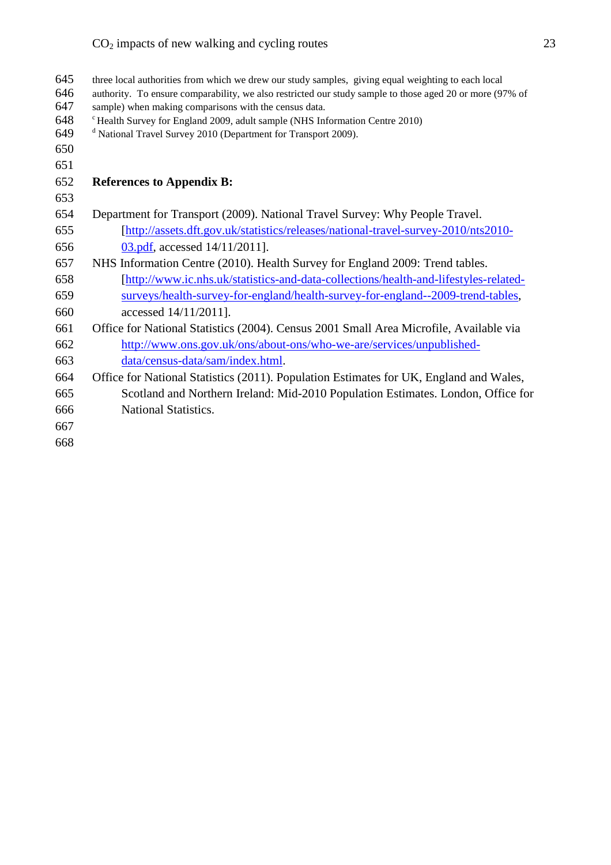| 645    | three local authorities from which we drew our study samples, giving equal weighting to each local       |
|--------|----------------------------------------------------------------------------------------------------------|
| 646    | authority. To ensure comparability, we also restricted our study sample to those aged 20 or more (97% of |
| 647    | sample) when making comparisons with the census data.                                                    |
| 648    | <sup>c</sup> Health Survey for England 2009, adult sample (NHS Information Centre 2010)                  |
| 649    | <sup>d</sup> National Travel Survey 2010 (Department for Transport 2009).                                |
| 650    |                                                                                                          |
| 651    |                                                                                                          |
| 652    | <b>References to Appendix B:</b>                                                                         |
| 653    |                                                                                                          |
| 654    | Department for Transport (2009). National Travel Survey: Why People Travel.                              |
| 655    | [http://assets.dft.gov.uk/statistics/releases/national-travel-survey-2010/nts2010-                       |
| 656    | 03.pdf, accessed 14/11/2011].                                                                            |
| 657    | NHS Information Centre (2010). Health Survey for England 2009: Trend tables.                             |
| 658    | [http://www.ic.nhs.uk/statistics-and-data-collections/health-and-lifestyles-related-                     |
| 659    | surveys/health-survey-for-england/health-survey-for-england--2009-trend-tables,                          |
| 660    | accessed 14/11/2011].                                                                                    |
| 661    | Office for National Statistics (2004). Census 2001 Small Area Microfile, Available via                   |
| 662    | http://www.ons.gov.uk/ons/about-ons/who-we-are/services/unpublished-                                     |
| 663    | data/census-data/sam/index.html.                                                                         |
| 664    | Office for National Statistics (2011). Population Estimates for UK, England and Wales,                   |
| 665    | Scotland and Northern Ireland: Mid-2010 Population Estimates. London, Office for                         |
| 666    | National Statistics.                                                                                     |
| 667    |                                                                                                          |
| $\sim$ |                                                                                                          |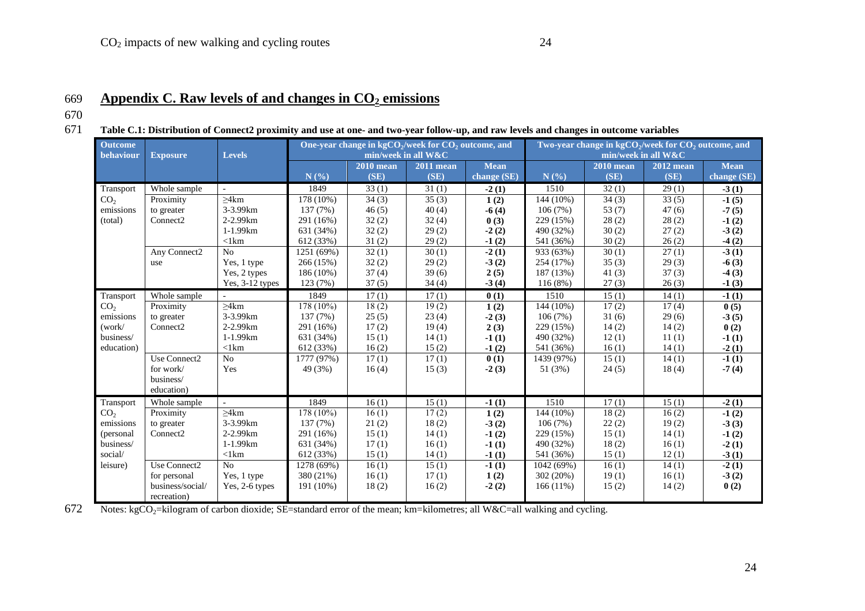### 671 **Table C.1: Distribution of Connect2 proximity and use at one- and two-year follow-up, and raw levels and changes in outcome variables**

| <b>Outcome</b><br>behaviour | <b>Exposure</b><br><b>Levels</b> |                             |            |                  | One-year change in $kgCO_2$ /week for $CO_2$ outcome, and<br>min/week in all W&C | Two-year change in $kgCO_2$ /week for $CO_2$ outcome, and<br>min/week in all W&C |             |                  |                  |                    |
|-----------------------------|----------------------------------|-----------------------------|------------|------------------|----------------------------------------------------------------------------------|----------------------------------------------------------------------------------|-------------|------------------|------------------|--------------------|
|                             |                                  |                             |            | <b>2010</b> mean |                                                                                  | <b>Mean</b>                                                                      |             | <b>2010</b> mean | <b>2012</b> mean | <b>Mean</b>        |
|                             |                                  |                             | N(%)       | (SE)             | $2011$ mean<br>(SE)                                                              | change (SE)                                                                      | N(%)        | (SE)             | (SE)             | change $(SE)$      |
| Transport                   | Whole sample                     |                             | 1849       | 33(1)            | 31(1)                                                                            | $-2(1)$                                                                          | 1510        | 32(1)            | 29(1)            | $-3(1)$            |
| CO <sub>2</sub>             | Proximity                        | >4km                        | 178 (10%)  | 34(3)            | 35(3)                                                                            | 1(2)                                                                             | 144 (10%)   | 34(3)            | 33(5)            | $-1(5)$            |
| emissions                   | to greater                       | 3-3.99km                    | 137(7%)    | 46(5)            | 40(4)                                                                            | $-6(4)$                                                                          | 106(7%)     | 53(7)            | 47(6)            | $-7(5)$            |
| (total)                     | Connect <sub>2</sub>             | 2-2.99km                    | 291 (16%)  | 32(2)            | 32(4)                                                                            | 0(3)                                                                             | 229 (15%)   | 28(2)            | 28(2)            | $-1(2)$            |
|                             |                                  | 1-1.99km                    | 631 (34%)  | 32(2)            | 29(2)                                                                            | $-2(2)$                                                                          | 490 (32%)   | 30(2)            | 27(2)            | $-3(2)$            |
|                             |                                  | $<$ 1 $km$                  | 612 (33%)  | 31(2)            | 29(2)                                                                            | $-1(2)$                                                                          | 541 (36%)   | 30(2)            | 26(2)            | $-4(2)$            |
|                             | Any Connect2                     | No                          | 1251 (69%) | 32(1)            | 30(1)                                                                            | $-2(1)$                                                                          | 933 (63%)   | 30(1)            | 27(1)            | $-3(1)$            |
|                             | use                              |                             | 266(15%)   | 32(2)            | 29(2)                                                                            |                                                                                  | 254 (17%)   | 35(3)            | 29(3)            |                    |
|                             |                                  | Yes, 1 type<br>Yes, 2 types | 186 (10%)  | 37(4)            | 39(6)                                                                            | $-3(2)$                                                                          | 187 (13%)   | 41(3)            | 37(3)            | $-6(3)$            |
|                             |                                  | Yes, 3-12 types             | 123(7%)    | 37(5)            | 34(4)                                                                            | 2(5)<br>$-3(4)$                                                                  | 116(8%)     | 27(3)            | 26(3)            | $-4(3)$<br>$-1(3)$ |
|                             |                                  |                             |            |                  |                                                                                  |                                                                                  |             |                  |                  |                    |
| Transport                   | Whole sample                     |                             | 1849       | 17(1)            | 17(1)                                                                            | 0(1)                                                                             | 1510        | 15(1)            | 14(1)            | $-1(1)$            |
| CO <sub>2</sub>             | Proximity                        | >4km                        | 178 (10%)  | 18(2)            | 19(2)                                                                            | 1(2)                                                                             | 144 (10%)   | 17(2)            | 17(4)            | 0(5)               |
| emissions                   | to greater                       | 3-3.99km                    | 137 (7%)   | 25(5)            | 23(4)                                                                            | $-2(3)$                                                                          | 106(7%)     | 31(6)            | 29(6)            | $-3(5)$            |
| (work/                      | Connect <sub>2</sub>             | 2-2.99km                    | 291 (16%)  | 17(2)            | 19(4)                                                                            | 2(3)                                                                             | 229 (15%)   | 14(2)            | 14(2)            | 0(2)               |
| business/                   |                                  | 1-1.99km                    | 631 (34%)  | 15(1)            | 14(1)                                                                            | $-1(1)$                                                                          | 490 (32%)   | 12(1)            | 11(1)            | $-1(1)$            |
| education)                  |                                  | $<$ 1 $km$                  | 612 (33%)  | 16(2)            | 15(2)                                                                            | $-1(2)$                                                                          | 541 (36%)   | 16(1)            | 14(1)            | $-2(1)$            |
|                             | Use Connect2                     | N <sub>o</sub>              | 1777 (97%) | 17(1)            | 17(1)                                                                            | 0(1)                                                                             | 1439 (97%)  | 15(1)            | 14(1)            | $-1(1)$            |
|                             | for work/                        | Yes                         | 49 (3%)    | 16(4)            | 15(3)                                                                            | $-2(3)$                                                                          | 51 (3%)     | 24(5)            | 18(4)            | $-7(4)$            |
|                             | business/                        |                             |            |                  |                                                                                  |                                                                                  |             |                  |                  |                    |
|                             | education)                       |                             |            |                  |                                                                                  |                                                                                  |             |                  |                  |                    |
| Transport                   | Whole sample                     |                             | 1849       | 16(1)            | 15(1)                                                                            | $-1(1)$                                                                          | 1510        | 17(1)            | 15(1)            | $-2(1)$            |
| CO <sub>2</sub>             | Proximity                        | >4km                        | 178 (10%)  | 16(1)            | 17(2)                                                                            | 1(2)                                                                             | 144 (10%)   | 18(2)            | 16(2)            | $-1(2)$            |
| emissions                   | to greater                       | 3-3.99km                    | 137 (7%)   | 21(2)            | 18(2)                                                                            | $-3(2)$                                                                          | 106(7%)     | 22(2)            | 19(2)            | $-3(3)$            |
| (personal                   | Connect2                         | 2-2.99km                    | 291 (16%)  | 15(1)            | 14(1)                                                                            | $-1(2)$                                                                          | 229 (15%)   | 15(1)            | 14(1)            | $-1(2)$            |
| business/                   |                                  | 1-1.99km                    | 631 (34%)  | 17(1)            | 16(1)                                                                            | $-1(1)$                                                                          | 490 (32%)   | 18(2)            | 16(1)            | $-2(1)$            |
| social/                     |                                  | $<$ 1 $km$                  | 612 (33%)  | 15(1)            | 14(1)                                                                            | $-1(1)$                                                                          | 541 (36%)   | 15(1)            | 12(1)            | $-3(1)$            |
| leisure)                    | Use Connect2                     | N <sub>o</sub>              | 1278 (69%) | 16(1)            | 15(1)                                                                            | $-1(1)$                                                                          | 1042 (69%)  | 16(1)            | 14(1)            | $-2(1)$            |
|                             | for personal                     | Yes, 1 type                 | 380 (21%)  | 16(1)            | 17(1)                                                                            | 1(2)                                                                             | 302 (20%)   | 19(1)            | 16(1)            | $-3(2)$            |
|                             | business/social/                 | Yes, 2-6 types              | 191 (10%)  | 18(2)            | 16(2)                                                                            | $-2(2)$                                                                          | $166(11\%)$ | 15(2)            | 14(2)            | 0(2)               |
|                             | recreation)                      |                             |            |                  |                                                                                  |                                                                                  |             |                  |                  |                    |

672 Notes: kgCO<sub>2</sub>=kilogram of carbon dioxide; SE=standard error of the mean; km=kilometres; all W&C=all walking and cycling.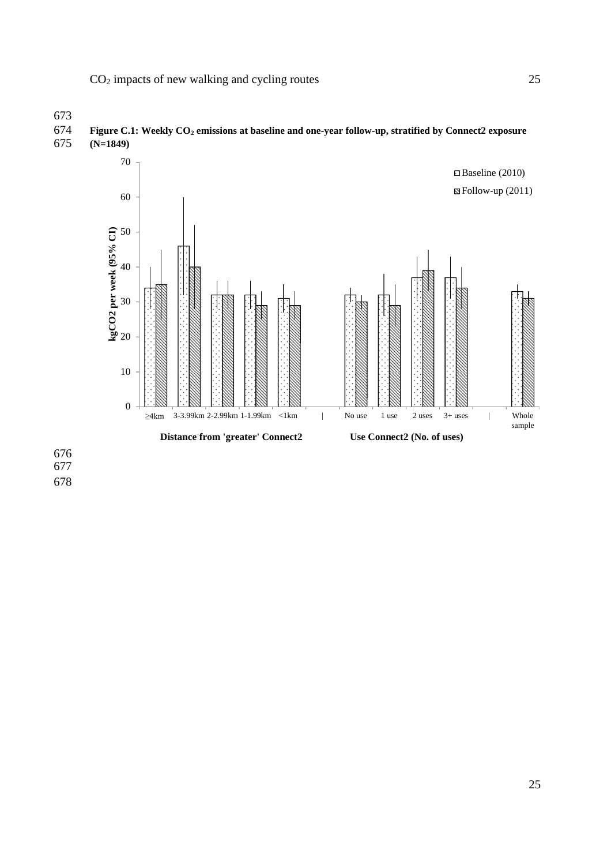